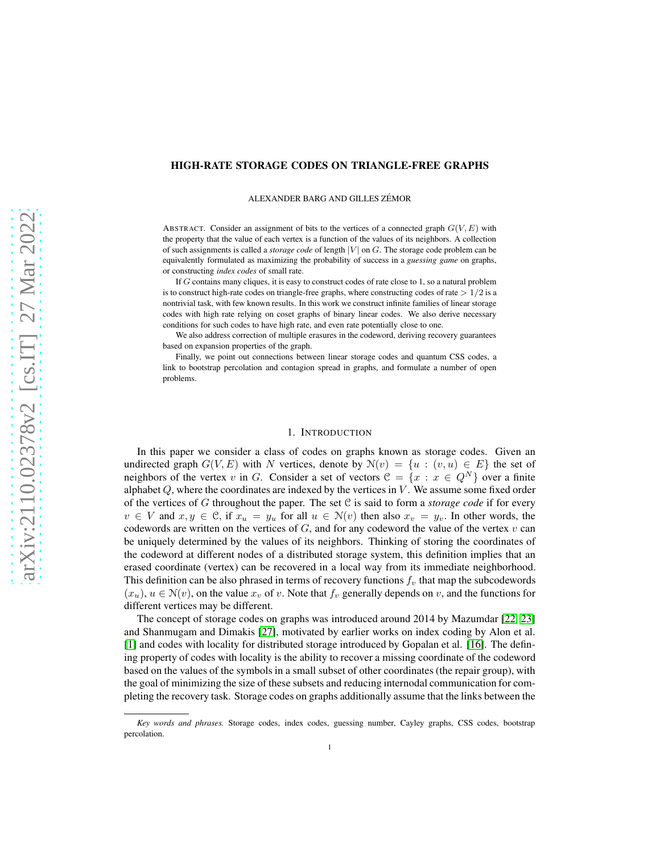# HIGH-RATE STORAGE CODES ON TRIANGLE-FREE GRAPHS

ALEXANDER BARG AND GILLES ZÉMOR

ABSTRACT. Consider an assignment of bits to the vertices of a connected graph  $G(V, E)$  with the property that the value of each vertex is a function of the values of its neighbors. A collection of such assignments is called a *storage code* of length |V| on G. The storage code problem can be equivalently formulated as maximizing the probability of success in a *guessing game* on graphs, or constructing *index codes* of small rate.

If G contains many cliques, it is easy to construct codes of rate close to 1, so a natural problem is to construct high-rate codes on triangle-free graphs, where constructing codes of rate  $> 1/2$  is a nontrivial task, with few known results. In this work we construct infinite families of linear storage codes with high rate relying on coset graphs of binary linear codes. We also derive necessary conditions for such codes to have high rate, and even rate potentially close to one.

We also address correction of multiple erasures in the codeword, deriving recovery guarantees based on expansion properties of the graph.

Finally, we point out connections between linear storage codes and quantum CSS codes, a link to bootstrap percolation and contagion spread in graphs, and formulate a number of open problems.

### 1. INTRODUCTION

In this paper we consider a class of codes on graphs known as storage codes. Given an undirected graph  $G(V, E)$  with N vertices, denote by  $\mathcal{N}(v) = \{u : (v, u) \in E\}$  the set of neighbors of the vertex v in G. Consider a set of vectors  $\mathcal{C} = \{x : x \in Q^N\}$  over a finite alphabet  $Q$ , where the coordinates are indexed by the vertices in  $V$ . We assume some fixed order of the vertices of G throughout the paper. The set C is said to form a *storage code* if for every  $v \in V$  and  $x, y \in \mathcal{C}$ , if  $x_u = y_u$  for all  $u \in \mathcal{N}(v)$  then also  $x_v = y_v$ . In other words, the codewords are written on the vertices of  $G$ , and for any codeword the value of the vertex  $v$  can be uniquely determined by the values of its neighbors. Thinking of storing the coordinates of the codeword at different nodes of a distributed storage system, this definition implies that an erased coordinate (vertex) can be recovered in a local way from its immediate neighborhood. This definition can be also phrased in terms of recovery functions  $f_v$  that map the subcodewords  $(x_u)$ ,  $u \in \mathcal{N}(v)$ , on the value  $x_v$  of v. Note that  $f_v$  generally depends on v, and the functions for different vertices may be different.

The concept of storage codes on graphs was introduced around 2014 by Mazumdar [\[22,](#page-19-0) [23\]](#page-19-1) and Shanmugam and Dimakis [\[27\]](#page-19-2), motivated by earlier works on index coding by Alon et al. [\[1\]](#page-18-0) and codes with locality for distributed storage introduced by Gopalan et al. [\[16\]](#page-19-3). The defining property of codes with locality is the ability to recover a missing coordinate of the codeword based on the values of the symbols in a small subset of other coordinates (the repair group), with the goal of minimizing the size of these subsets and reducing internodal communication for completing the recovery task. Storage codes on graphs additionally assume that the links between the

*Key words and phrases.* Storage codes, index codes, guessing number, Cayley graphs, CSS codes, bootstrap percolation.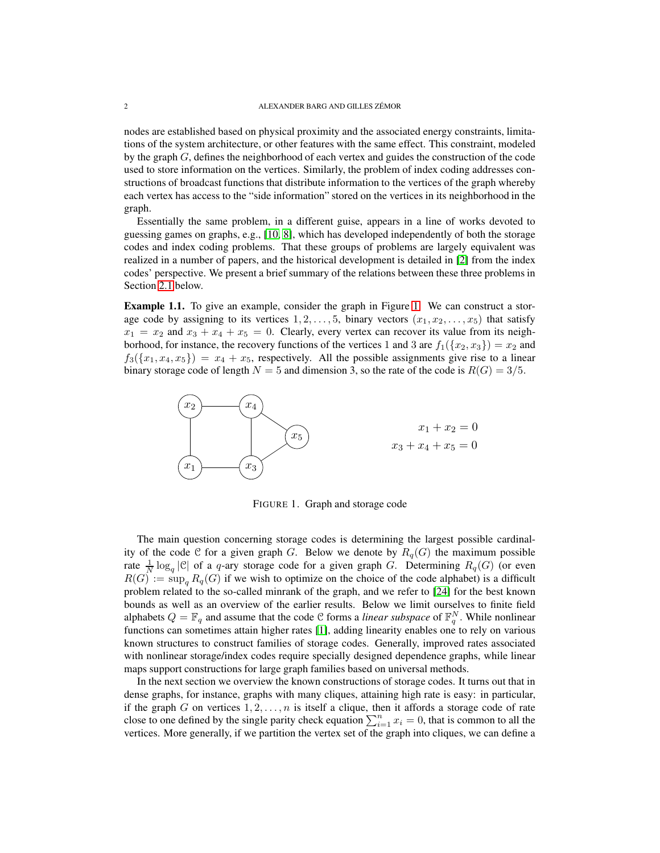nodes are established based on physical proximity and the associated energy constraints, limitations of the system architecture, or other features with the same effect. This constraint, modeled by the graph  $G$ , defines the neighborhood of each vertex and guides the construction of the code used to store information on the vertices. Similarly, the problem of index coding addresses constructions of broadcast functions that distribute information to the vertices of the graph whereby each vertex has access to the "side information" stored on the vertices in its neighborhood in the graph.

Essentially the same problem, in a different guise, appears in a line of works devoted to guessing games on graphs, e.g., [\[10,](#page-18-1) [8\]](#page-18-2), which has developed independently of both the storage codes and index coding problems. That these groups of problems are largely equivalent was realized in a number of papers, and the historical development is detailed in [\[2\]](#page-18-3) from the index codes' perspective. We present a brief summary of the relations between these three problems in Section [2.1](#page-2-0) below.

Example 1.1. To give an example, consider the graph in Figure [1.](#page-1-0) We can construct a storage code by assigning to its vertices  $1, 2, \ldots, 5$ , binary vectors  $(x_1, x_2, \ldots, x_5)$  that satisfy  $x_1 = x_2$  and  $x_3 + x_4 + x_5 = 0$ . Clearly, every vertex can recover its value from its neighborhood, for instance, the recovery functions of the vertices 1 and 3 are  $f_1({x_2, x_3}) = x_2$  and  $f_3({x_1, x_4, x_5}) = x_4 + x_5$ , respectively. All the possible assignments give rise to a linear binary storage code of length  $N = 5$  and dimension 3, so the rate of the code is  $R(G) = 3/5$ .



<span id="page-1-0"></span>FIGURE 1. Graph and storage code

The main question concerning storage codes is determining the largest possible cardinality of the code C for a given graph G. Below we denote by  $R_q(G)$  the maximum possible rate  $\frac{1}{N} \log_q |\mathcal{C}|$  of a q-ary storage code for a given graph G. Determining  $R_q(G)$  (or even  $R(G) := \sup_{\alpha} R_q(G)$  if we wish to optimize on the choice of the code alphabet) is a difficult problem related to the so-called minrank of the graph, and we refer to [\[24\]](#page-19-4) for the best known bounds as well as an overview of the earlier results. Below we limit ourselves to finite field alphabets  $Q = \mathbb{F}_q$  and assume that the code C forms a *linear subspace* of  $\mathbb{F}_q^N$ . While nonlinear functions can sometimes attain higher rates [\[1\]](#page-18-0), adding linearity enables one to rely on various known structures to construct families of storage codes. Generally, improved rates associated with nonlinear storage/index codes require specially designed dependence graphs, while linear maps support constructions for large graph families based on universal methods.

In the next section we overview the known constructions of storage codes. It turns out that in dense graphs, for instance, graphs with many cliques, attaining high rate is easy: in particular, if the graph G on vertices  $1, 2, \ldots, n$  is itself a clique, then it affords a storage code of rate close to one defined by the single parity check equation  $\sum_{i=1}^{n} x_i = 0$ , that is common to all the vertices. More generally, if we partition the vertex set of the graph into cliques, we can define a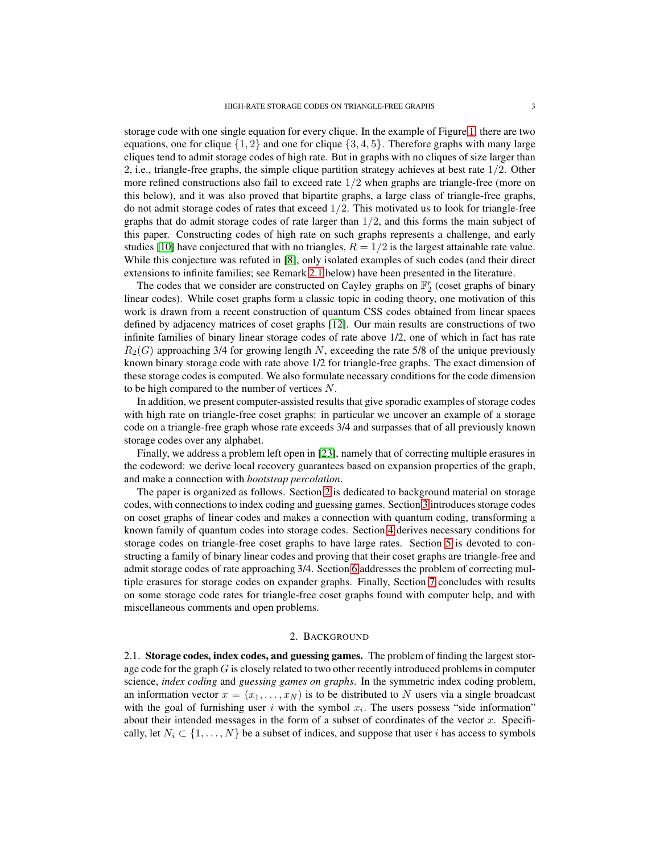storage code with one single equation for every clique. In the example of Figure [1,](#page-1-0) there are two equations, one for clique  $\{1, 2\}$  and one for clique  $\{3, 4, 5\}$ . Therefore graphs with many large cliques tend to admit storage codes of high rate. But in graphs with no cliques of size larger than 2, i.e., triangle-free graphs, the simple clique partition strategy achieves at best rate  $1/2$ . Other more refined constructions also fail to exceed rate  $1/2$  when graphs are triangle-free (more on this below), and it was also proved that bipartite graphs, a large class of triangle-free graphs, do not admit storage codes of rates that exceed  $1/2$ . This motivated us to look for triangle-free graphs that do admit storage codes of rate larger than  $1/2$ , and this forms the main subject of this paper. Constructing codes of high rate on such graphs represents a challenge, and early studies [\[10\]](#page-18-1) have conjectured that with no triangles,  $R = 1/2$  is the largest attainable rate value. While this conjecture was refuted in [\[8\]](#page-18-2), only isolated examples of such codes (and their direct extensions to infinite families; see Remark [2.1](#page-6-0) below) have been presented in the literature.

The codes that we consider are constructed on Cayley graphs on  $\mathbb{F}_2^r$  (coset graphs of binary linear codes). While coset graphs form a classic topic in coding theory, one motivation of this work is drawn from a recent construction of quantum CSS codes obtained from linear spaces defined by adjacency matrices of coset graphs [\[12\]](#page-18-4). Our main results are constructions of two infinite families of binary linear storage codes of rate above 1/2, one of which in fact has rate  $R_2(G)$  approaching 3/4 for growing length N, exceeding the rate 5/8 of the unique previously known binary storage code with rate above 1/2 for triangle-free graphs. The exact dimension of these storage codes is computed. We also formulate necessary conditions for the code dimension to be high compared to the number of vertices N.

In addition, we present computer-assisted results that give sporadic examples of storage codes with high rate on triangle-free coset graphs: in particular we uncover an example of a storage code on a triangle-free graph whose rate exceeds 3/4 and surpasses that of all previously known storage codes over any alphabet.

Finally, we address a problem left open in [\[23\]](#page-19-1), namely that of correcting multiple erasures in the codeword: we derive local recovery guarantees based on expansion properties of the graph, and make a connection with *bootstrap percolation*.

The paper is organized as follows. Section [2](#page-2-1) is dedicated to background material on storage codes, with connections to index coding and guessing games. Section [3](#page-6-1) introduces storage codes on coset graphs of linear codes and makes a connection with quantum coding, transforming a known family of quantum codes into storage codes. Section [4](#page-10-0) derives necessary conditions for storage codes on triangle-free coset graphs to have large rates. Section [5](#page-11-0) is devoted to constructing a family of binary linear codes and proving that their coset graphs are triangle-free and admit storage codes of rate approaching 3/4. Section [6](#page-15-0) addresses the problem of correcting multiple erasures for storage codes on expander graphs. Finally, Section [7](#page-17-0) concludes with results on some storage code rates for triangle-free coset graphs found with computer help, and with miscellaneous comments and open problems.

#### 2. BACKGROUND

<span id="page-2-1"></span><span id="page-2-0"></span>2.1. Storage codes, index codes, and guessing games. The problem of finding the largest storage code for the graph  $G$  is closely related to two other recently introduced problems in computer science, *index coding* and *guessing games on graphs*. In the symmetric index coding problem, an information vector  $x = (x_1, \ldots, x_N)$  is to be distributed to N users via a single broadcast with the goal of furnishing user i with the symbol  $x_i$ . The users possess "side information" about their intended messages in the form of a subset of coordinates of the vector  $x$ . Specifically, let  $N_i \subset \{1, \ldots, N\}$  be a subset of indices, and suppose that user i has access to symbols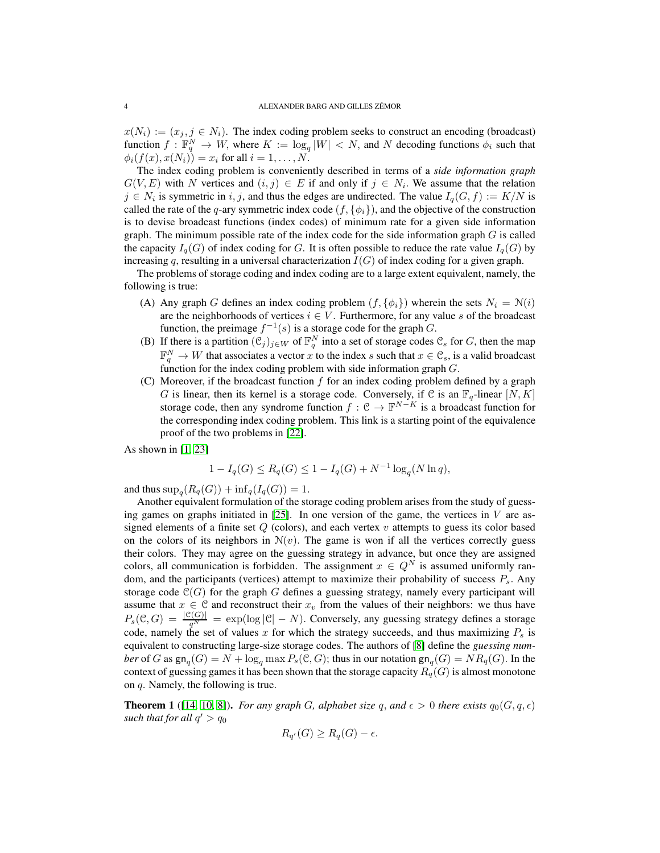$x(N_i) := (x_j, j \in N_i)$ . The index coding problem seeks to construct an encoding (broadcast) function  $f: \mathbb{F}_q^N \to W$ , where  $K := \log_q |W| < N$ , and N decoding functions  $\phi_i$  such that  $\phi_i(f(x), x(N_i)) = x_i$  for all  $i = 1, ..., N$ .

The index coding problem is conveniently described in terms of a *side information graph*  $G(V, E)$  with N vertices and  $(i, j) \in E$  if and only if  $j \in N_i$ . We assume that the relation  $j \in N_i$  is symmetric in i, j, and thus the edges are undirected. The value  $I_q(G, f) := K/N$  is called the rate of the q-ary symmetric index code  $(f, \{\phi_i\})$ , and the objective of the construction is to devise broadcast functions (index codes) of minimum rate for a given side information graph. The minimum possible rate of the index code for the side information graph  $G$  is called the capacity  $I_q(G)$  of index coding for G. It is often possible to reduce the rate value  $I_q(G)$  by increasing q, resulting in a universal characterization  $I(G)$  of index coding for a given graph.

The problems of storage coding and index coding are to a large extent equivalent, namely, the following is true:

- (A) Any graph G defines an index coding problem  $(f, \{\phi_i\})$  wherein the sets  $N_i = N(i)$ are the neighborhoods of vertices  $i \in V$ . Furthermore, for any value s of the broadcast function, the preimage  $f^{-1}(s)$  is a storage code for the graph G.
- (B) If there is a partition  $(\mathcal{C}_j)_{j\in W}$  of  $\mathbb{F}_q^N$  into a set of storage codes  $\mathcal{C}_s$  for G, then the map  $\mathbb{F}_q^N \to W$  that associates a vector x to the index s such that  $x \in \mathcal{C}_s$ , is a valid broadcast function for the index coding problem with side information graph  $G$ .
- (C) Moreover, if the broadcast function  $f$  for an index coding problem defined by a graph G is linear, then its kernel is a storage code. Conversely, if C is an  $\mathbb{F}_q$ -linear  $[N, K]$ storage code, then any syndrome function  $f: \mathcal{C} \to \mathbb{F}^{N-K}$  is a broadcast function for the corresponding index coding problem. This link is a starting point of the equivalence proof of the two problems in [\[22\]](#page-19-0).

As shown in [\[1,](#page-18-0) [23\]](#page-19-1)

$$
1 - I_q(G) \le R_q(G) \le 1 - I_q(G) + N^{-1} \log_q(N \ln q),
$$

and thus  $\sup_q(R_q(G)) + \inf_q(I_q(G)) = 1.$ 

Another equivalent formulation of the storage coding problem arises from the study of guessing games on graphs initiated in  $[25]$ . In one version of the game, the vertices in V are assigned elements of a finite set  $Q$  (colors), and each vertex  $v$  attempts to guess its color based on the colors of its neighbors in  $N(v)$ . The game is won if all the vertices correctly guess their colors. They may agree on the guessing strategy in advance, but once they are assigned colors, all communication is forbidden. The assignment  $x \in Q^N$  is assumed uniformly random, and the participants (vertices) attempt to maximize their probability of success  $P_s$ . Any storage code  $C(G)$  for the graph G defines a guessing strategy, namely every participant will assume that  $x \in \mathcal{C}$  and reconstruct their  $x_v$  from the values of their neighbors: we thus have  $P_s(\mathcal{C}, G) = \frac{|\mathcal{C}(G)|}{q^N} = \exp(\log |\mathcal{C}| - N)$ . Conversely, any guessing strategy defines a storage code, namely the set of values x for which the strategy succeeds, and thus maximizing  $P_s$  is equivalent to constructing large-size storage codes. The authors of [\[8\]](#page-18-2) define the *guessing number* of *G* as  $\mathsf{gn}_q(G) = N + \log_q \max P_s(\mathcal{C}, G)$ ; thus in our notation  $\mathsf{gn}_q(G) = NR_q(G)$ . In the context of guessing games it has been shown that the storage capacity  $R_q(G)$  is almost monotone on q. Namely, the following is true.

**Theorem 1** ([\[14,](#page-18-5) [10,](#page-18-1) [8\]](#page-18-2)). *For any graph* G, alphabet size q, and  $\epsilon > 0$  there exists  $q_0(G, q, \epsilon)$ such that for all  $q' > q_0$ 

$$
R_{q'}(G) \ge R_q(G) - \epsilon.
$$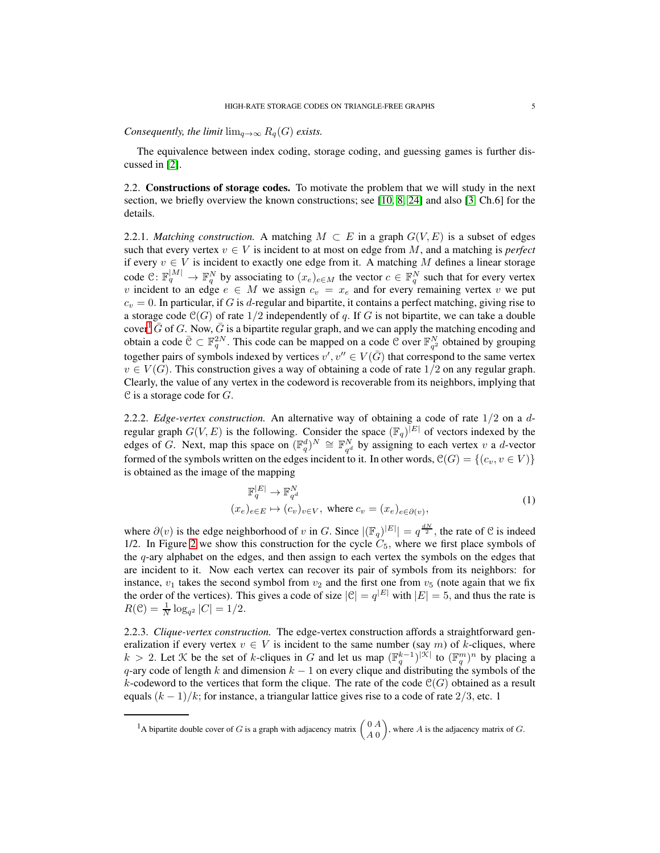*Consequently, the limit*  $\lim_{q\to\infty} R_q(G)$  *exists.* 

The equivalence between index coding, storage coding, and guessing games is further discussed in [\[2\]](#page-18-3).

<span id="page-4-1"></span>2.2. Constructions of storage codes. To motivate the problem that we will study in the next section, we briefly overview the known constructions; see [\[10,](#page-18-1) [8,](#page-18-2) [24\]](#page-19-4) and also [\[3,](#page-18-6) Ch.6] for the details.

2.2.1. *Matching construction.* A matching  $M \subset E$  in a graph  $G(V, E)$  is a subset of edges such that every vertex  $v \in V$  is incident to at most on edge from M, and a matching is *perfect* if every  $v \in V$  is incident to exactly one edge from it. A matching M defines a linear storage code  $\mathcal{C}: \mathbb{F}_q^{|M|} \to \mathbb{F}_q^N$  by associating to  $(x_e)_{e \in M}$  the vector  $c \in \mathbb{F}_q^N$  such that for every vertex v incident to an edge  $e \in M$  we assign  $c_v = x_e$  and for every remaining vertex v we put  $c_v = 0$ . In particular, if G is d-regular and bipartite, it contains a perfect matching, giving rise to a storage code  $\mathcal{C}(G)$  of rate  $1/2$  independently of q. If G is not bipartite, we can take a double cover<sup>[1](#page-4-0)</sup>  $\bar{G}$  of G. Now,  $\bar{G}$  is a bipartite regular graph, and we can apply the matching encoding and obtain a code  $\bar{C} \subset \mathbb{F}_q^{2N}$ . This code can be mapped on a code  $\mathcal{C}$  over  $\mathbb{F}_{q^2}^N$  obtained by grouping together pairs of symbols indexed by vertices  $v', v'' \in V(\bar{G})$  that correspond to the same vertex  $v \in V(G)$ . This construction gives a way of obtaining a code of rate  $1/2$  on any regular graph. Clearly, the value of any vertex in the codeword is recoverable from its neighbors, implying that  $C$  is a storage code for  $G$ .

2.2.2. *Edge-vertex construction.* An alternative way of obtaining a code of rate 1/2 on a dregular graph  $G(V, E)$  is the following. Consider the space  $(\mathbb{F}_q)^{|E|}$  of vectors indexed by the edges of G. Next, map this space on  $(\mathbb{F}_q^d)^N \cong \mathbb{F}_{q^d}^N$  by assigning to each vertex v a d-vector formed of the symbols written on the edges incident to it. In other words,  $\mathcal{C}(G) = \{(c_v, v \in V)\}\$ is obtained as the image of the mapping

$$
\mathbb{F}_q^{|E|} \to \mathbb{F}_{q^d}^N
$$
  
( $x_e$ )<sub>e $\in E$</sub>   $\mapsto$  ( $c_v$ ) <sub>$v \in V$</sub> , where  $c_v = (x_e)_{e \in \partial(v)}$ , (1)

where  $\partial(v)$  is the edge neighborhood of v in G. Since  $|(\mathbb{F}_q)|^{|E|}| = q^{\frac{dN}{2}}$ , the rate of  $\mathcal C$  is indeed 1/2. In Figure [2](#page-5-0) we show this construction for the cycle  $C_5$ , where we first place symbols of the q-ary alphabet on the edges, and then assign to each vertex the symbols on the edges that are incident to it. Now each vertex can recover its pair of symbols from its neighbors: for instance,  $v_1$  takes the second symbol from  $v_2$  and the first one from  $v_5$  (note again that we fix the order of the vertices). This gives a code of size  $|\mathcal{C}| = q^{|E|}$  with  $|E| = 5$ , and thus the rate is  $R(\mathcal{C}) = \frac{1}{N} \log_{q^2} |C| = 1/2.$ 

2.2.3. *Clique-vertex construction.* The edge-vertex construction affords a straightforward generalization if every vertex  $v \in V$  is incident to the same number (say m) of k-cliques, where  $k > 2$ . Let K be the set of k-cliques in G and let us map  $(\mathbb{F}_q^{k-1})^{|\mathcal{K}|}$  to  $(\mathbb{F}_q^m)^n$  by placing a  $q$ -ary code of length k and dimension  $k - 1$  on every clique and distributing the symbols of the k-codeword to the vertices that form the clique. The rate of the code  $\mathcal{C}(G)$  obtained as a result equals  $(k-1)/k$ ; for instance, a triangular lattice gives rise to a code of rate 2/3, etc. 1

<span id="page-4-0"></span><sup>&</sup>lt;sup>1</sup>A bipartite double cover of G is a graph with adjacency matrix  $\begin{pmatrix} 0 & A \\ 0 & 0 \end{pmatrix}$ A 0 ), where  $A$  is the adjacency matrix of  $G$ .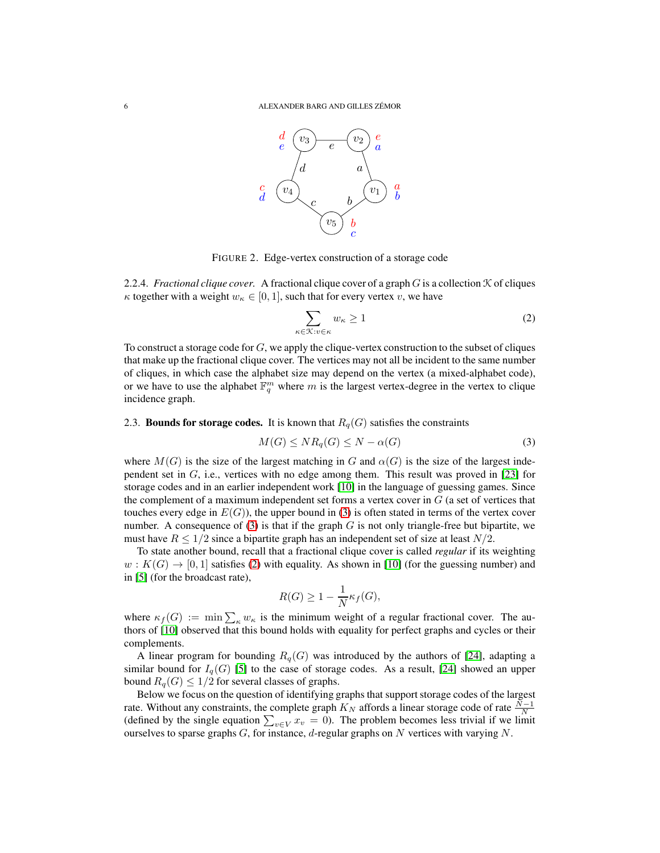

<span id="page-5-0"></span>FIGURE 2. Edge-vertex construction of a storage code

2.2.4. *Fractional clique cover.* A fractional clique cover of a graph  $G$  is a collection  $K$  of cliques  $\kappa$  together with a weight  $w_{\kappa} \in [0, 1]$ , such that for every vertex v, we have

<span id="page-5-2"></span>
$$
\sum_{\kappa \in \mathcal{K}: v \in \kappa} w_{\kappa} \ge 1 \tag{2}
$$

To construct a storage code for  $G$ , we apply the clique-vertex construction to the subset of cliques that make up the fractional clique cover. The vertices may not all be incident to the same number of cliques, in which case the alphabet size may depend on the vertex (a mixed-alphabet code), or we have to use the alphabet  $\mathbb{F}_q^m$  where m is the largest vertex-degree in the vertex to clique incidence graph.

## 2.3. Bounds for storage codes. It is known that  $R_q(G)$  satisfies the constraints

<span id="page-5-1"></span>
$$
M(G) \le NR_q(G) \le N - \alpha(G) \tag{3}
$$

where  $M(G)$  is the size of the largest matching in G and  $\alpha(G)$  is the size of the largest independent set in  $G$ , i.e., vertices with no edge among them. This result was proved in [\[23\]](#page-19-1) for storage codes and in an earlier independent work [\[10\]](#page-18-1) in the language of guessing games. Since the complement of a maximum independent set forms a vertex cover in  $G$  (a set of vertices that touches every edge in  $E(G)$ ), the upper bound in [\(3\)](#page-5-1) is often stated in terms of the vertex cover number. A consequence of  $(3)$  is that if the graph G is not only triangle-free but bipartite, we must have  $R \leq 1/2$  since a bipartite graph has an independent set of size at least  $N/2$ .

To state another bound, recall that a fractional clique cover is called *regular* if its weighting  $w: K(G) \to [0, 1]$  satisfies [\(2\)](#page-5-2) with equality. As shown in [\[10\]](#page-18-1) (for the guessing number) and in [\[5\]](#page-18-7) (for the broadcast rate),

$$
R(G) \ge 1 - \frac{1}{N} \kappa_f(G),
$$

where  $\kappa_f(G) := \min \sum_{\kappa} w_{\kappa}$  is the minimum weight of a regular fractional cover. The authors of [\[10\]](#page-18-1) observed that this bound holds with equality for perfect graphs and cycles or their complements.

A linear program for bounding  $R_q(G)$  was introduced by the authors of [\[24\]](#page-19-4), adapting a similar bound for  $I_q(G)$  [\[5\]](#page-18-7) to the case of storage codes. As a result, [\[24\]](#page-19-4) showed an upper bound  $R_q(G) \leq 1/2$  for several classes of graphs.

Below we focus on the question of identifying graphs that support storage codes of the largest rate. Without any constraints, the complete graph  $K_N$  affords a linear storage code of rate  $\frac{N-1}{N}$ (defined by the single equation  $\sum_{v \in V} x_v = 0$ ). The problem becomes less trivial if we limit ourselves to sparse graphs  $G$ , for instance,  $d$ -regular graphs on  $N$  vertices with varying  $N$ .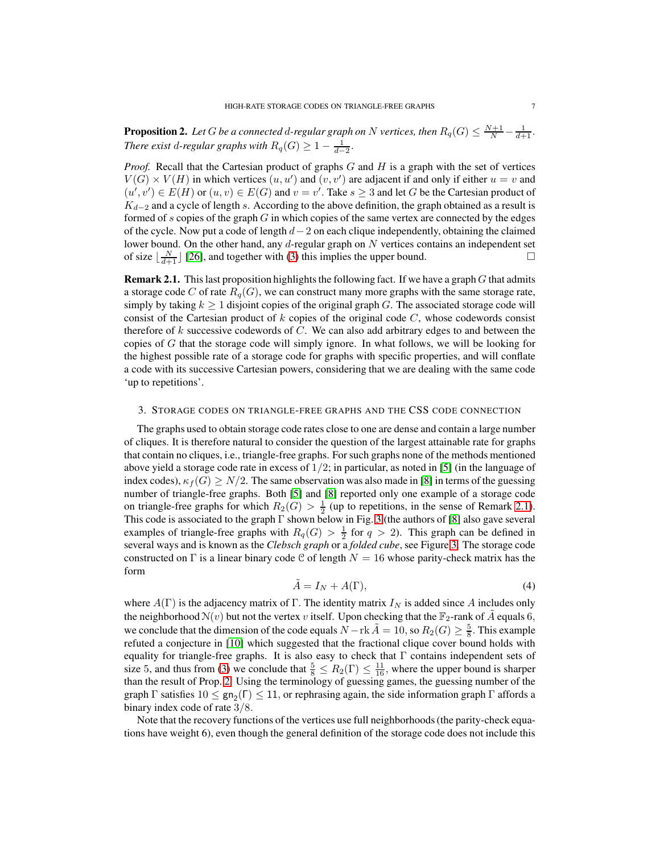<span id="page-6-2"></span>**Proposition 2.** Let  $G$  be a connected  $d$ -regular graph on  $N$  vertices, then  $R_q(G) \leq \frac{N+1}{N} - \frac{1}{d+1}$ . *There exist d-regular graphs with*  $R_q(G) \geq 1 - \frac{1}{d-2}$ .

*Proof.* Recall that the Cartesian product of graphs  $G$  and  $H$  is a graph with the set of vertices  $V(G) \times V(H)$  in which vertices  $(u, u')$  and  $(v, v')$  are adjacent if and only if either  $u = v$  and  $(u', v') \in E(H)$  or  $(u, v) \in E(G)$  and  $v = v'$ . Take  $s \geq 3$  and let G be the Cartesian product of  $K_{d-2}$  and a cycle of length s. According to the above definition, the graph obtained as a result is formed of s copies of the graph  $G$  in which copies of the same vertex are connected by the edges of the cycle. Now put a code of length  $d-2$  on each clique independently, obtaining the claimed lower bound. On the other hand, any  $d$ -regular graph on  $N$  vertices contains an independent set of size  $\lfloor \frac{N}{d+1} \rfloor$  [\[26\]](#page-19-6), and together with [\(3\)](#page-5-1) this implies the upper bound.

<span id="page-6-0"></span>Remark 2.1. This last proposition highlights the following fact. If we have a graph G that admits a storage code C of rate  $R_q(G)$ , we can construct many more graphs with the same storage rate, simply by taking  $k \geq 1$  disjoint copies of the original graph G. The associated storage code will consist of the Cartesian product of  $k$  copies of the original code  $C$ , whose codewords consist therefore of  $k$  successive codewords of  $C$ . We can also add arbitrary edges to and between the copies of  $G$  that the storage code will simply ignore. In what follows, we will be looking for the highest possible rate of a storage code for graphs with specific properties, and will conflate a code with its successive Cartesian powers, considering that we are dealing with the same code 'up to repetitions'.

## <span id="page-6-1"></span>3. STORAGE CODES ON TRIANGLE-FREE GRAPHS AND THE CSS CODE CONNECTION

The graphs used to obtain storage code rates close to one are dense and contain a large number of cliques. It is therefore natural to consider the question of the largest attainable rate for graphs that contain no cliques, i.e., triangle-free graphs. For such graphs none of the methods mentioned above yield a storage code rate in excess of  $1/2$ ; in particular, as noted in [\[5\]](#page-18-7) (in the language of index codes),  $\kappa_f(G) \ge N/2$ . The same observation was also made in [\[8\]](#page-18-2) in terms of the guessing number of triangle-free graphs. Both [\[5\]](#page-18-7) and [\[8\]](#page-18-2) reported only one example of a storage code on triangle-free graphs for which  $R_2(G) > \frac{1}{2}$  (up to repetitions, in the sense of Remark [2.1\)](#page-6-0). This code is associated to the graph  $\Gamma$  shown below in Fig. [3](#page-7-0) (the authors of [\[8\]](#page-18-2) also gave several examples of triangle-free graphs with  $R_q(G) > \frac{1}{2}$  for  $q > 2$ ). This graph can be defined in several ways and is known as the *Clebsch graph* or a *folded cube*, see Figure [3.](#page-7-0) The storage code constructed on Γ is a linear binary code C of length  $N = 16$  whose parity-check matrix has the form

<span id="page-6-3"></span>
$$
\tilde{A} = I_N + A(\Gamma),\tag{4}
$$

where  $A(\Gamma)$  is the adjacency matrix of  $\Gamma$ . The identity matrix  $I_N$  is added since A includes only the neighborhood  $N(v)$  but not the vertex v itself. Upon checking that the  $\mathbb{F}_2$ -rank of  $\tilde{A}$  equals 6, we conclude that the dimension of the code equals  $N - \text{rk }\tilde{A} = 10$ , so  $R_2(G) \geq \frac{5}{8}$ . This example refuted a conjecture in [\[10\]](#page-18-1) which suggested that the fractional clique cover bound holds with equality for triangle-free graphs. It is also easy to check that  $\Gamma$  contains independent sets of size 5, and thus from [\(3\)](#page-5-1) we conclude that  $\frac{5}{8} \le R_2(\Gamma) \le \frac{11}{16}$ , where the upper bound is sharper than the result of Prop. [2.](#page-6-2) Using the terminology of guessing games, the guessing number of the graph  $\Gamma$  satisfies  $10 \le \text{gn}_2(\Gamma) \le 11$ , or rephrasing again, the side information graph  $\Gamma$  affords a binary index code of rate 3/8.

Note that the recovery functions of the vertices use full neighborhoods (the parity-check equations have weight 6), even though the general definition of the storage code does not include this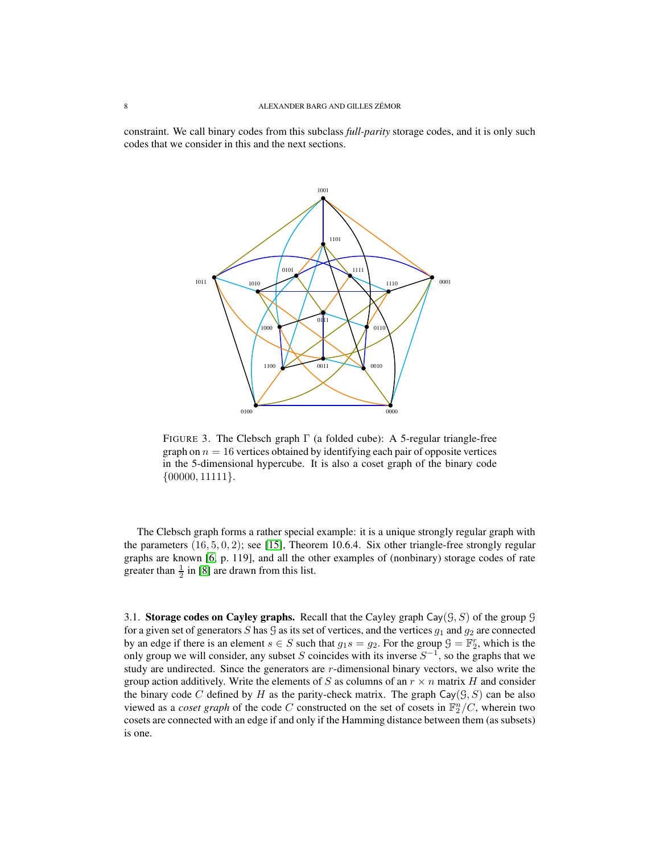constraint. We call binary codes from this subclass *full-parity* storage codes, and it is only such codes that we consider in this and the next sections.



<span id="page-7-0"></span>FIGURE 3. The Clebsch graph  $\Gamma$  (a folded cube): A 5-regular triangle-free graph on  $n = 16$  vertices obtained by identifying each pair of opposite vertices in the 5-dimensional hypercube. It is also a coset graph of the binary code  $\{00000, 11111\}.$ 

The Clebsch graph forms a rather special example: it is a unique strongly regular graph with the parameters  $(16, 5, 0, 2)$ ; see [\[15\]](#page-18-8), Theorem 10.6.4. Six other triangle-free strongly regular graphs are known [\[6,](#page-18-9) p. 119], and all the other examples of (nonbinary) storage codes of rate greater than  $\frac{1}{2}$  in [\[8\]](#page-18-2) are drawn from this list.

<span id="page-7-1"></span>3.1. Storage codes on Cayley graphs. Recall that the Cayley graph Cay $(\mathcal{G}, \mathcal{S})$  of the group  $\mathcal{G}$ for a given set of generators S has G as its set of vertices, and the vertices  $q_1$  and  $q_2$  are connected by an edge if there is an element  $s \in S$  such that  $g_1 s = g_2$ . For the group  $\mathcal{G} = \mathbb{F}_2^r$ , which is the only group we will consider, any subset S coincides with its inverse  $S^{-1}$ , so the graphs that we study are undirected. Since the generators are r-dimensional binary vectors, we also write the group action additively. Write the elements of S as columns of an  $r \times n$  matrix H and consider the binary code C defined by H as the parity-check matrix. The graph  $\text{Cay}(G, S)$  can be also viewed as a *coset graph* of the code C constructed on the set of cosets in  $\mathbb{F}_2^n/C$ , wherein two cosets are connected with an edge if and only if the Hamming distance between them (as subsets) is one.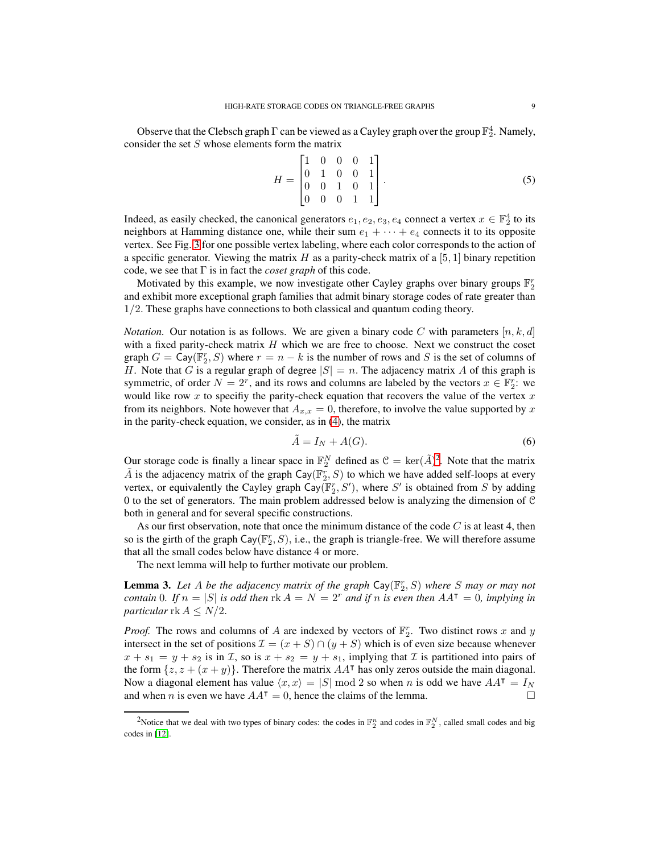Observe that the Clebsch graph  $\Gamma$  can be viewed as a Cayley graph over the group  $\mathbb{F}_2^4$ . Namely, consider the set S whose elements form the matrix

$$
H = \begin{bmatrix} 1 & 0 & 0 & 0 & 1 \\ 0 & 1 & 0 & 0 & 1 \\ 0 & 0 & 1 & 0 & 1 \\ 0 & 0 & 0 & 1 & 1 \end{bmatrix} . \tag{5}
$$

Indeed, as easily checked, the canonical generators  $e_1, e_2, e_3, e_4$  connect a vertex  $x \in \mathbb{F}_2^4$  to its neighbors at Hamming distance one, while their sum  $e_1 + \cdots + e_4$  connects it to its opposite vertex. See Fig. [3](#page-7-0) for one possible vertex labeling, where each color corresponds to the action of a specific generator. Viewing the matrix H as a parity-check matrix of a [5, 1] binary repetition code, we see that Γ is in fact the *coset graph* of this code.

Motivated by this example, we now investigate other Cayley graphs over binary groups  $\mathbb{F}_2^r$ and exhibit more exceptional graph families that admit binary storage codes of rate greater than 1/2. These graphs have connections to both classical and quantum coding theory.

*Notation.* Our notation is as follows. We are given a binary code C with parameters  $[n, k, d]$ with a fixed parity-check matrix  $H$  which we are free to choose. Next we construct the coset graph  $G = \text{Cay}(\mathbb{F}_2^r, S)$  where  $r = n - k$  is the number of rows and S is the set of columns of H. Note that G is a regular graph of degree  $|S| = n$ . The adjacency matrix A of this graph is symmetric, of order  $N = 2^r$ , and its rows and columns are labeled by the vectors  $x \in \mathbb{F}_2^r$ : we would like row  $x$  to specifiy the parity-check equation that recovers the value of the vertex  $x$ from its neighbors. Note however that  $A_{x,x} = 0$ , therefore, to involve the value supported by x in the parity-check equation, we consider, as in [\(4\)](#page-6-3), the matrix

$$
\tilde{A} = I_N + A(G). \tag{6}
$$

Our storage code is finally a linear space in  $\mathbb{F}_2^N$  $\mathbb{F}_2^N$  $\mathbb{F}_2^N$  defined as  $\mathcal{C} = \text{ker}(\tilde{A})^2$ . Note that the matrix  $\tilde{A}$  is the adjacency matrix of the graph  $\textsf{Cay}(\mathbb{F}_2^r, S)$  to which we have added self-loops at every vertex, or equivalently the Cayley graph  $\text{Cay}(\mathbb{F}_2^r, S')$ , where S' is obtained from S by adding 0 to the set of generators. The main problem addressed below is analyzing the dimension of  $\mathcal C$ both in general and for several specific constructions.

As our first observation, note that once the minimum distance of the code  $C$  is at least 4, then so is the girth of the graph  $\text{Cay}(\mathbb{F}_2^r, S)$ , i.e., the graph is triangle-free. We will therefore assume that all the small codes below have distance 4 or more.

The next lemma will help to further motivate our problem.

<span id="page-8-1"></span>**Lemma 3.** Let A be the adjacency matrix of the graph  $\text{Cay}(\mathbb{F}_2^r, S)$  where S may or may not *contain* 0*.* If  $n = |S|$  *is odd then*  $rk A = N = 2^r$  *and if* n *is even then*  $AA^\intercal = 0$ *, implying in particular* rk  $A \leq N/2$ .

*Proof.* The rows and columns of A are indexed by vectors of  $\mathbb{F}_2^r$ . Two distinct rows x and y intersect in the set of positions  $\mathcal{I} = (x + S) \cap (y + S)$  which is of even size because whenever  $x + s_1 = y + s_2$  is in *T*, so is  $x + s_2 = y + s_1$ , implying that *T* is partitioned into pairs of the form  $\{z, z + (x + y)\}\)$ . Therefore the matrix  $AA^{\dagger}$  has only zeros outside the main diagonal. Now a diagonal element has value  $\langle x, x \rangle = |S| \bmod 2$  so when n is odd we have  $AA^{\dagger} = I_N$ and when *n* is even we have  $AA^T = 0$ , hence the claims of the lemma.

<span id="page-8-0"></span><sup>&</sup>lt;sup>2</sup>Notice that we deal with two types of binary codes: the codes in  $\mathbb{F}_2^n$  and codes in  $\mathbb{F}_2^N$ , called small codes and big codes in [\[12\]](#page-18-4).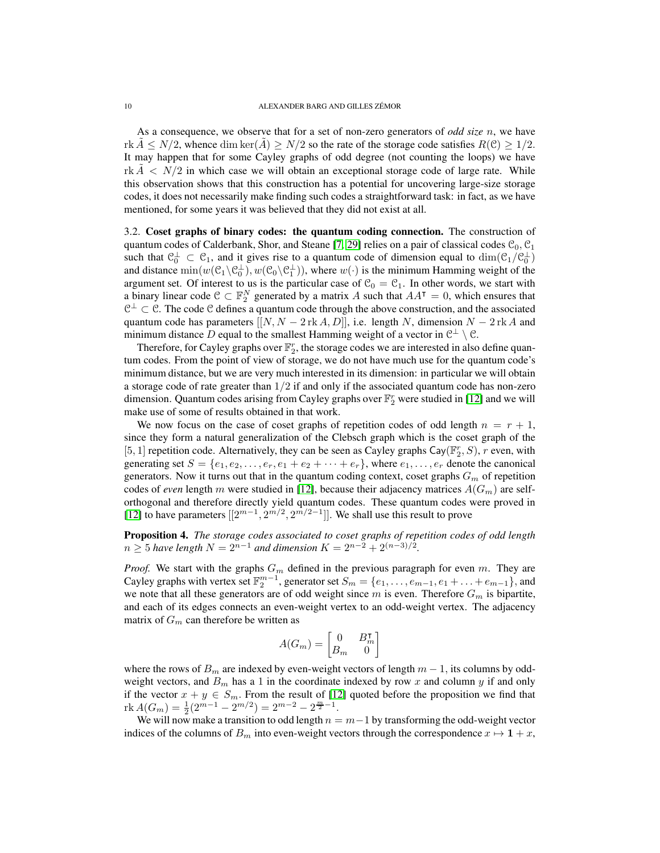As a consequence, we observe that for a set of non-zero generators of *odd size* n, we have rk  $A \le N/2$ , whence dim ker(A)  $\ge N/2$  so the rate of the storage code satisfies  $R(\mathcal{C}) \ge 1/2$ . It may happen that for some Cayley graphs of odd degree (not counting the loops) we have  $r \cdot k \leq N/2$  in which case we will obtain an exceptional storage code of large rate. While this observation shows that this construction has a potential for uncovering large-size storage codes, it does not necessarily make finding such codes a straightforward task: in fact, as we have mentioned, for some years it was believed that they did not exist at all.

3.2. Coset graphs of binary codes: the quantum coding connection. The construction of quantum codes of Calderbank, Shor, and Steane [\[7,](#page-18-10) [29\]](#page-19-7) relies on a pair of classical codes  $\mathcal{C}_0$ ,  $\mathcal{C}_1$ such that  $\mathcal{C}_0^{\perp} \subset \mathcal{C}_1$ , and it gives rise to a quantum code of dimension equal to  $\dim(\mathcal{C}_1/\mathcal{C}_0^{\perp})$ and distance  $\min(w(\mathcal{C}_1 \setminus \mathcal{C}_0^{\perp}), w(\mathcal{C}_0 \setminus \mathcal{C}_1^{\perp})),$  where  $w(\cdot)$  is the minimum Hamming weight of the argument set. Of interest to us is the particular case of  $\mathcal{C}_0 = \mathcal{C}_1$ . In other words, we start with a binary linear code  $\mathcal{C} \subset \mathbb{F}_2^N$  generated by a matrix A such that  $AA^\intercal = 0$ , which ensures that  $C^{\perp} \subset C$ . The code C defines a quantum code through the above construction, and the associated quantum code has parameters  $[[N, N - 2 \text{ rk } A, D]],$  i.e. length N, dimension  $N - 2 \text{ rk } A$  and minimum distance D equal to the smallest Hamming weight of a vector in  $\mathcal{C}^{\perp} \setminus \mathcal{C}$ .

Therefore, for Cayley graphs over  $\mathbb{F}_2^r$ , the storage codes we are interested in also define quantum codes. From the point of view of storage, we do not have much use for the quantum code's minimum distance, but we are very much interested in its dimension: in particular we will obtain a storage code of rate greater than  $1/2$  if and only if the associated quantum code has non-zero dimension. Quantum codes arising from Cayley graphs over  $\mathbb{F}_2^r$  were studied in [\[12\]](#page-18-4) and we will make use of some of results obtained in that work.

We now focus on the case of coset graphs of repetition codes of odd length  $n = r + 1$ , since they form a natural generalization of the Clebsch graph which is the coset graph of the [5, 1] repetition code. Alternatively, they can be seen as Cayley graphs Cay( $\mathbb{F}_2^r$ , S), r even, with generating set  $S = \{e_1, e_2, \ldots, e_r, e_1 + e_2 + \cdots + e_r\}$ , where  $e_1, \ldots, e_r$  denote the canonical generators. Now it turns out that in the quantum coding context, coset graphs  $G_m$  of repetition codes of *even* length m were studied in [\[12\]](#page-18-4), because their adjacency matrices  $A(G_m)$  are selforthogonal and therefore directly yield quantum codes. These quantum codes were proved in [\[12\]](#page-18-4) to have parameters  $[[2^{m-1}, 2^{m/2}, 2^{m/2-1}]]$ . We shall use this result to prove

Proposition 4. *The storage codes associated to coset graphs of repetition codes of odd length*  $n \ge 5$  *have length*  $N = 2^{n-1}$  *and dimension*  $K = 2^{n-2} + 2^{(n-3)/2}$ *.* 

*Proof.* We start with the graphs  $G_m$  defined in the previous paragraph for even m. They are Cayley graphs with vertex set  $\mathbb{F}_2^{m-1}$ , generator set  $S_m = \{e_1, \ldots, e_{m-1}, e_1 + \ldots + e_{m-1}\}$ , and we note that all these generators are of odd weight since m is even. Therefore  $G_m$  is bipartite, and each of its edges connects an even-weight vertex to an odd-weight vertex. The adjacency matrix of  $G_m$  can therefore be written as

$$
A(G_m) = \begin{bmatrix} 0 & B_m^{\intercal} \\ B_m & 0 \end{bmatrix}
$$

where the rows of  $B_m$  are indexed by even-weight vectors of length  $m - 1$ , its columns by oddweight vectors, and  $B_m$  has a 1 in the coordinate indexed by row x and column y if and only if the vector  $x + y \in S_m$ . From the result of [\[12\]](#page-18-4) quoted before the proposition we find that  $\text{rk}\,A(G_m) = \frac{1}{2}(2^{m-1} - 2^{m/2}) = 2^{m-2} - 2^{\frac{m}{2}-1}.$ 

We will now make a transition to odd length  $n = m-1$  by transforming the odd-weight vector indices of the columns of  $B_m$  into even-weight vectors through the correspondence  $x \mapsto 1+x$ ,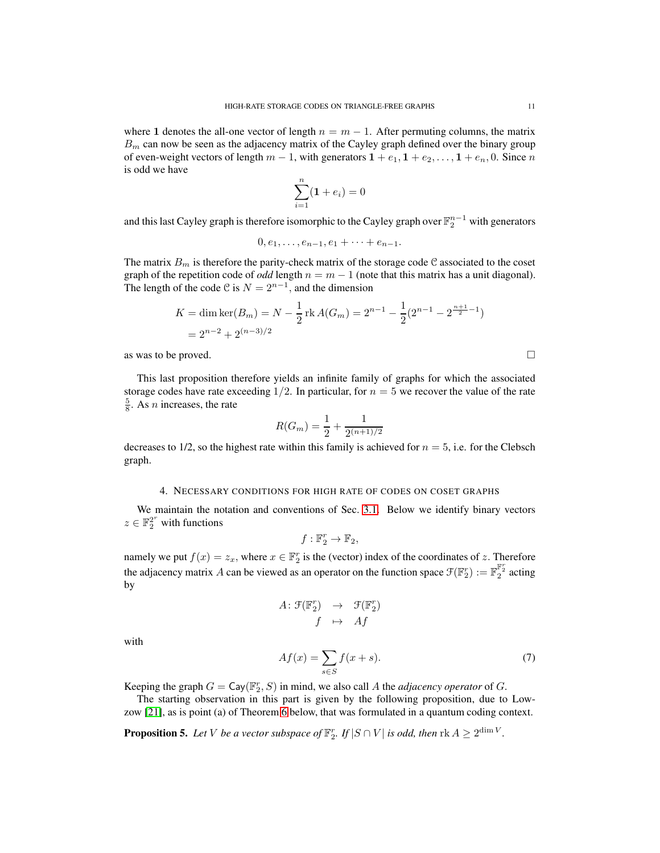where 1 denotes the all-one vector of length  $n = m - 1$ . After permuting columns, the matrix  $B<sub>m</sub>$  can now be seen as the adjacency matrix of the Cayley graph defined over the binary group of even-weight vectors of length  $m - 1$ , with generators  $1 + e_1$ ,  $1 + e_2$ , ...,  $1 + e_n$ , 0. Since n is odd we have

$$
\sum_{i=1}^{n} (1 + e_i) = 0
$$

and this last Cayley graph is therefore isomorphic to the Cayley graph over  $\mathbb{F}_2^{n-1}$  with generators

$$
0, e_1, \ldots, e_{n-1}, e_1 + \cdots + e_{n-1}.
$$

The matrix  $B_m$  is therefore the parity-check matrix of the storage code C associated to the coset graph of the repetition code of *odd* length  $n = m - 1$  (note that this matrix has a unit diagonal). The length of the code C is  $N = 2^{n-1}$ , and the dimension

$$
K = \dim \ker(B_m) = N - \frac{1}{2} \operatorname{rk} A(G_m) = 2^{n-1} - \frac{1}{2} (2^{n-1} - 2^{\frac{n+1}{2} - 1})
$$
  
= 2<sup>n-2</sup> + 2<sup>(n-3)/2</sup>

as was to be proved.  $\Box$ 

This last proposition therefore yields an infinite family of graphs for which the associated storage codes have rate exceeding  $1/2$ . In particular, for  $n = 5$  we recover the value of the rate  $\frac{5}{8}$ . As *n* increases, the rate

$$
R(G_m) = \frac{1}{2} + \frac{1}{2^{(n+1)/2}}
$$

<span id="page-10-0"></span>decreases to  $1/2$ , so the highest rate within this family is achieved for  $n = 5$ , i.e. for the Clebsch graph.

## 4. NECESSARY CONDITIONS FOR HIGH RATE OF CODES ON COSET GRAPHS

We maintain the notation and conventions of Sec. [3.1.](#page-7-1) Below we identify binary vectors  $z \in \mathbb{F}_2^{2^r}$  with functions

$$
f:\mathbb{F}_2^r\to\mathbb{F}_2,
$$

namely we put  $f(x) = z_x$ , where  $x \in \mathbb{F}_2^r$  is the (vector) index of the coordinates of z. Therefore the adjacency matrix A can be viewed as an operator on the function space  $\mathcal{F}(\mathbb{F}_2^r) := \mathbb{F}_2^{\mathbb{F}_2^r}$  acting by

$$
A: \mathcal{F}(\mathbb{F}_2^r) \rightarrow \mathcal{F}(\mathbb{F}_2^r) \nf \mapsto Af
$$

with

<span id="page-10-2"></span>
$$
Af(x) = \sum_{s \in S} f(x+s). \tag{7}
$$

Keeping the graph  $G = \mathsf{Cay}(\mathbb{F}_2^r, S)$  in mind, we also call A the *adjacency operator* of G.

The starting observation in this part is given by the following proposition, due to Lowzow [\[21\]](#page-19-8), as is point (a) of Theorem [6](#page-11-1) below, that was formulated in a quantum coding context.

<span id="page-10-1"></span>**Proposition 5.** Let V be a vector subspace of  $\mathbb{F}_2^r$ . If  $|S \cap V|$  is odd, then  $\text{rk } A \geq 2^{\dim V}$ .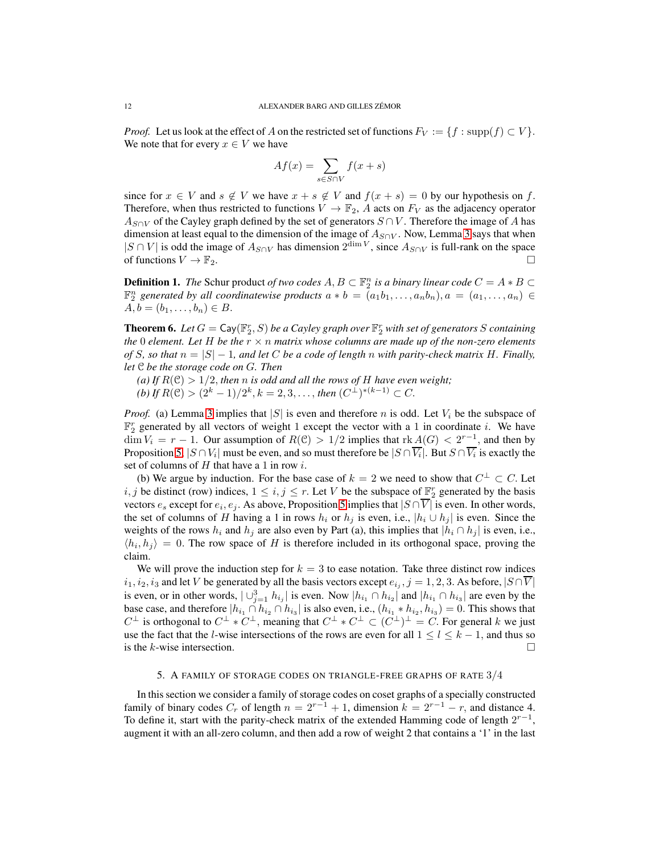*Proof.* Let us look at the effect of A on the restricted set of functions  $F_V := \{f : \text{supp}(f) \subset V\}$ . We note that for every  $x \in V$  we have

$$
Af(x) = \sum_{s \in S \cap V} f(x+s)
$$

since for  $x \in V$  and  $s \notin V$  we have  $x + s \notin V$  and  $f(x + s) = 0$  by our hypothesis on f. Therefore, when thus restricted to functions  $V \to \mathbb{F}_2$ , A acts on  $F_V$  as the adjacency operator  $A_{S\cap V}$  of the Cayley graph defined by the set of generators  $S \cap V$ . Therefore the image of A has dimension at least equal to the dimension of the image of  $A_{S\cap V}$ . Now, Lemma [3](#page-8-1) says that when  $|S \cap V|$  is odd the image of  $A_{S \cap V}$  has dimension  $2^{\dim V}$ , since  $A_{S \cap V}$  is full-rank on the space of functions  $V \to \mathbb{F}_2$ .

**Definition 1.** *The* Schur product *of two codes*  $A, B \subset \mathbb{F}_2^n$  *is a binary linear code*  $C = A * B \subset \mathbb{F}_2^n$  $\mathbb{F}_2^n$  generated by all coordinatewise products  $a * b = (a_1b_1, \ldots, a_nb_n), a = (a_1, \ldots, a_n) \in$  $A, b = (b_1, \ldots, b_n) \in B.$ 

<span id="page-11-1"></span>**Theorem 6.** Let  $G = \mathsf{Cay}(\mathbb{F}_2^r, S)$  be a Cayley graph over  $\mathbb{F}_2^r$  with set of generators S containing *the* 0 *element. Let* H *be the* r × n *matrix whose columns are made up of the non-zero elements of* S, so that  $n = |S| - 1$ , and let C be a code of length n with parity-check matrix H. Finally, *let* C *be the storage code on* G*. Then*

(a) If  $R(\mathcal{C}) > 1/2$ , then *n* is odd and all the rows of *H* have even weight; *(b)* If  $R(\mathcal{C}) > (2^k - 1)/2^k$ ,  $k = 2, 3, ...,$  *then*  $(C^{\perp})^{*(k-1)} \subset C$ .

*Proof.* (a) Lemma [3](#page-8-1) implies that |S| is even and therefore n is odd. Let  $V_i$  be the subspace of  $\mathbb{F}_2^r$  generated by all vectors of weight 1 except the vector with a 1 in coordinate *i*. We have  $\dim V_i = r - 1$ . Our assumption of  $R(\mathcal{C}) > 1/2$  implies that  $\text{rk}\underline{A}(G) < 2^{r-1}$ , and then by Proposition [5,](#page-10-1)  $|S \cap V_i|$  must be even, and so must therefore be  $|S \cap V_i|$ . But  $S \cap V_i$  is exactly the set of columns of  $H$  that have a 1 in row i.

(b) We argue by induction. For the base case of  $k = 2$  we need to show that  $C^{\perp} \subset C$ . Let i, j be distinct (row) indices,  $1 \le i, j \le r$ . Let V be the subspace of  $\mathbb{F}_2^r$  generated by the basis vectors  $e_s$  except for  $e_i, e_j$ . As above, Proposition [5](#page-10-1) implies that  $|S \cap V|$  is even. In other words, the set of columns of H having a 1 in rows  $h_i$  or  $h_j$  is even, i.e.,  $|h_i \cup h_j|$  is even. Since the weights of the rows  $h_i$  and  $h_j$  are also even by Part (a), this implies that  $|h_i \cap h_j|$  is even, i.e.,  $\langle h_i, h_j \rangle = 0$ . The row space of H is therefore included in its orthogonal space, proving the claim.

We will prove the induction step for  $k = 3$  to ease notation. Take three distinct row indices  $i_1, i_2, i_3$  and let V be generated by all the basis vectors except  $e_{i_j}, j = 1, 2, 3$ . As before,  $|S \cap V|$ is even, or in other words,  $\bigcup_{j=1}^{3} h_{i_j}$  is even. Now  $|h_{i_1} \cap h_{i_2}|$  and  $|h_{i_1} \cap h_{i_3}|$  are even by the base case, and therefore  $|h_{i_1} \cap h_{i_2} \cap h_{i_3}|$  is also even, i.e.,  $(h_{i_1} * h_{i_2}, h_{i_3}) = 0$ . This shows that  $C^{\perp}$  is orthogonal to  $C^{\perp} * C^{\perp}$ , meaning that  $C^{\perp} * C^{\perp} \subset (C^{\perp})^{\perp} = C$ . For general k we just use the fact that the *l*-wise intersections of the rows are even for all  $1 \le l \le k - 1$ , and thus so is the *k*-wise intersection. is the k-wise intersection.

## 5. A FAMILY OF STORAGE CODES ON TRIANGLE-FREE GRAPHS OF RATE 3/4

<span id="page-11-0"></span>In this section we consider a family of storage codes on coset graphs of a specially constructed family of binary codes  $C_r$  of length  $n = 2^{r-1} + 1$ , dimension  $k = 2^{r-1} - r$ , and distance 4. To define it, start with the parity-check matrix of the extended Hamming code of length  $2^{r-1}$ , augment it with an all-zero column, and then add a row of weight 2 that contains a '1' in the last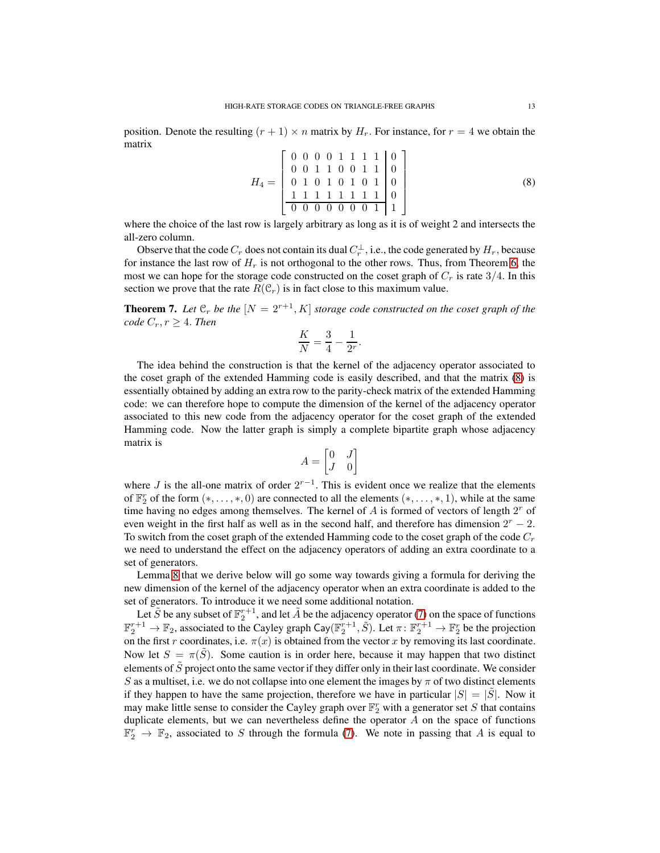position. Denote the resulting  $(r + 1) \times n$  matrix by  $H_r$ . For instance, for  $r = 4$  we obtain the matrix

<span id="page-12-0"></span>
$$
H_4 = \begin{bmatrix} 0 & 0 & 0 & 0 & 1 & 1 & 1 & 1 & 0 \\ 0 & 0 & 1 & 1 & 0 & 0 & 1 & 1 & 0 \\ 0 & 1 & 0 & 1 & 0 & 1 & 0 & 1 & 0 \\ \hline 1 & 1 & 1 & 1 & 1 & 1 & 1 & 1 & 0 \\ \hline 0 & 0 & 0 & 0 & 0 & 0 & 0 & 1 & 1 \end{bmatrix} \tag{8}
$$

where the choice of the last row is largely arbitrary as long as it is of weight 2 and intersects the all-zero column.

Observe that the code  $C_r$  does not contain its dual  $C_r^{\perp}$ , i.e., the code generated by  $H_r$ , because for instance the last row of  $H_r$  is not orthogonal to the other rows. Thus, from Theorem [6,](#page-11-1) the most we can hope for the storage code constructed on the coset graph of  $C_r$  is rate  $3/4$ . In this section we prove that the rate  $R(\mathcal{C}_r)$  is in fact close to this maximum value.

<span id="page-12-1"></span>**Theorem 7.** Let  $\mathfrak{C}_r$  be the  $[N = 2^{r+1}, K]$  storage code constructed on the coset graph of the *code*  $C_r$ ,  $r \geq 4$ . *Then* 

$$
\frac{K}{N}=\frac{3}{4}-\frac{1}{2^r}.
$$

The idea behind the construction is that the kernel of the adjacency operator associated to the coset graph of the extended Hamming code is easily described, and that the matrix [\(8\)](#page-12-0) is essentially obtained by adding an extra row to the parity-check matrix of the extended Hamming code: we can therefore hope to compute the dimension of the kernel of the adjacency operator associated to this new code from the adjacency operator for the coset graph of the extended Hamming code. Now the latter graph is simply a complete bipartite graph whose adjacency matrix is

$$
A = \begin{bmatrix} 0 & J \\ J & 0 \end{bmatrix}
$$

where *J* is the all-one matrix of order  $2^{r-1}$ . This is evident once we realize that the elements of  $\mathbb{F}_2^r$  of the form  $(*, \ldots, *, 0)$  are connected to all the elements  $(*, \ldots, *, 1)$ , while at the same time having no edges among themselves. The kernel of  $A$  is formed of vectors of length  $2<sup>r</sup>$  of even weight in the first half as well as in the second half, and therefore has dimension  $2^r - 2$ . To switch from the coset graph of the extended Hamming code to the coset graph of the code  $C_r$ we need to understand the effect on the adjacency operators of adding an extra coordinate to a set of generators.

Lemma [8](#page-13-0) that we derive below will go some way towards giving a formula for deriving the new dimension of the kernel of the adjacency operator when an extra coordinate is added to the set of generators. To introduce it we need some additional notation.

Let  $\tilde{S}$  be any subset of  $\mathbb{F}_2^{r+1}$ , and let  $\tilde{A}$  be the adjacency operator [\(7\)](#page-10-2) on the space of functions  $\mathbb{F}_2^{r+1} \to \mathbb{F}_2$ , associated to the Cayley graph Cay( $\mathbb{F}_2^{r+1}$ ,  $\tilde{S}$ ). Let  $\pi \colon \mathbb{F}_2^{r+1} \to \mathbb{F}_2^r$  be the projection on the first r coordinates, i.e.  $\pi(x)$  is obtained from the vector x by removing its last coordinate. Now let  $S = \pi(\tilde{S})$ . Some caution is in order here, because it may happen that two distinct elements of  $\tilde{S}$  project onto the same vector if they differ only in their last coordinate. We consider S as a multiset, i.e. we do not collapse into one element the images by  $\pi$  of two distinct elements if they happen to have the same projection, therefore we have in particular  $|S| = |S|$ . Now it may make little sense to consider the Cayley graph over  $\mathbb{F}_2^r$  with a generator set S that contains duplicate elements, but we can nevertheless define the operator  $A$  on the space of functions  $\mathbb{F}_2^r \to \mathbb{F}_2$ , associated to S through the formula [\(7\)](#page-10-2). We note in passing that A is equal to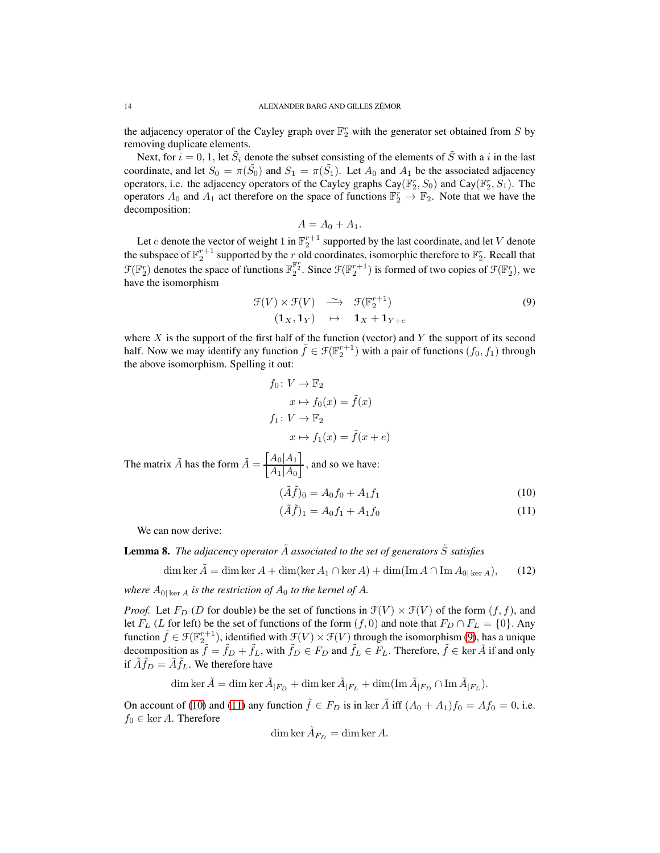the adjacency operator of the Cayley graph over  $\mathbb{F}_2^r$  with the generator set obtained from S by removing duplicate elements.

Next, for  $i = 0, 1$ , let  $\tilde{S}_i$  denote the subset consisting of the elements of  $\tilde{S}$  with a i in the last coordinate, and let  $S_0 = \pi(\tilde{S_0})$  and  $S_1 = \pi(\tilde{S_1})$ . Let  $A_0$  and  $A_1$  be the associated adjacency operators, i.e. the adjacency operators of the Cayley graphs  $\text{Cay}(\mathbb{F}_2^r, S_0)$  and  $\text{Cay}(\mathbb{F}_2^r, S_1)$ . The operators  $A_0$  and  $A_1$  act therefore on the space of functions  $\mathbb{F}_2^r \to \mathbb{F}_2$ . Note that we have the decomposition:

$$
A = A_0 + A_1.
$$

Let e denote the vector of weight 1 in  $\mathbb{F}_2^{r+1}$  supported by the last coordinate, and let V denote the subspace of  $\mathbb{F}_2^{r+1}$  supported by the r old coordinates, isomorphic therefore to  $\mathbb{F}_2^r$ . Recall that  $\mathcal{F}(\mathbb{F}_2^r)$  denotes the space of functions  $\mathbb{F}_2^{\mathbb{F}_2^r}$ . Since  $\mathcal{F}(\mathbb{F}_2^{r+1})$  is formed of two copies of  $\mathcal{F}(\mathbb{F}_2^r)$ , we have the isomorphism

<span id="page-13-1"></span>
$$
\mathcal{F}(V) \times \mathcal{F}(V) \xrightarrow{\sim} \mathcal{F}(\mathbb{F}_2^{r+1})
$$
  

$$
(\mathbf{1}_X, \mathbf{1}_Y) \mapsto \mathbf{1}_X + \mathbf{1}_{Y+e}
$$
 (9)

where  $X$  is the support of the first half of the function (vector) and  $Y$  the support of its second half. Now we may identify any function  $\tilde{f} \in \mathcal{F}(\mathbb{F}_2^{r+1})$  with a pair of functions  $(f_0, f_1)$  through the above isomorphism. Spelling it out:

$$
f_0: V \to \mathbb{F}_2
$$
  
\n
$$
x \mapsto f_0(x) = \tilde{f}(x)
$$
  
\n
$$
f_1: V \to \mathbb{F}_2
$$
  
\n
$$
x \mapsto f_1(x) = \tilde{f}(x + e)
$$

The matrix  $\tilde{A}$  has the form  $\tilde{A} = \frac{\begin{bmatrix} A_0 | A_1 \end{bmatrix}}{A \begin{bmatrix} A_1 \\ A_2 \end{bmatrix}}$  $A_1|A_0$  $\frac{1}{\sqrt{2}}$ , and so we have:

<span id="page-13-2"></span>
$$
(\tilde{A}\tilde{f})_0 = A_0 f_0 + A_1 f_1 \tag{10}
$$

<span id="page-13-3"></span>
$$
(\tilde{A}\tilde{f})_1 = A_0 f_1 + A_1 f_0 \tag{11}
$$

We can now derive:

<span id="page-13-0"></span>**Lemma 8.** *The adjacency operator*  $\tilde{A}$  *associated to the set of generators*  $\tilde{S}$  *satisfies* 

<span id="page-13-4"></span>dim ker  $\tilde{A} = \dim \ker A + \dim(\ker A_1 \cap \ker A) + \dim(\operatorname{Im} A \cap \operatorname{Im} A_{0|\ker A}),$  (12)

*where*  $A_{0|\text{ ker }A}$  *is the restriction of*  $A_0$  *to the kernel of*  $A$ *.* 

*Proof.* Let  $F_D$  (D for double) be the set of functions in  $\mathcal{F}(V) \times \mathcal{F}(V)$  of the form  $(f, f)$ , and let  $F_L$  (L for left) be the set of functions of the form  $(f, 0)$  and note that  $F_D \cap F_L = \{0\}$ . Any function  $\tilde{f} \in \mathcal{F}(\mathbb{F}_2^{r+1})$ , identified with  $\mathcal{F}(V) \times \mathcal{F}(V)$  through the isomorphism [\(9\)](#page-13-1), has a unique decomposition as  $\tilde{f} = \tilde{f}_D + \tilde{f}_L$ , with  $\tilde{f}_D \in F_D$  and  $\tilde{f}_L \in F_L$ . Therefore,  $\tilde{f} \in \text{ker } \tilde{A}$  if and only if  $\tilde{A} \tilde{f}_D = \tilde{A} \tilde{f}_L$ . We therefore have

 $\dim \ker \tilde{A} = \dim \ker \tilde{A}_{|F_D} + \dim \ker \tilde{A}_{|F_L} + \dim (\operatorname{Im} \tilde{A}_{|F_D} \cap \operatorname{Im} \tilde{A}_{|F_L}).$ 

On account of [\(10\)](#page-13-2) and [\(11\)](#page-13-3) any function  $\tilde{f} \in F_D$  is in ker  $\tilde{A}$  iff  $(A_0 + A_1)f_0 = Af_0 = 0$ , i.e.  $f_0 \in \text{ker } A$ . Therefore

$$
\dim \ker \tilde{A}_{F_D} = \dim \ker A.
$$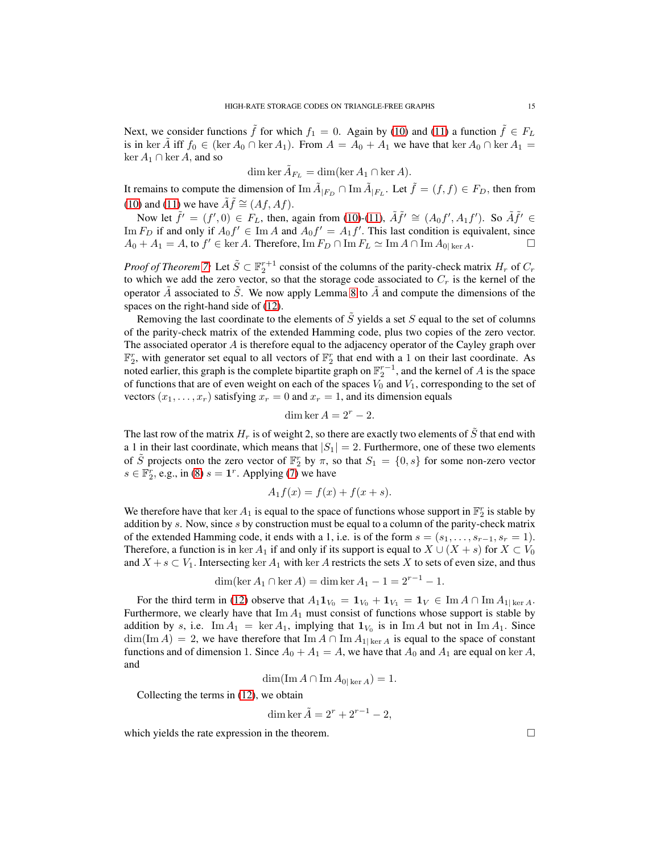Next, we consider functions  $\tilde{f}$  for which  $f_1 = 0$ . Again by [\(10\)](#page-13-2) and [\(11\)](#page-13-3) a function  $\tilde{f} \in F_L$ is in ker  $\hat{A}$  iff  $f_0 \in (\ker A_0 \cap \ker A_1)$ . From  $A = A_0 + A_1$  we have that  $\ker A_0 \cap \ker A_1 =$  $\ker A_1 \cap \ker A$ , and so

$$
\dim \ker \tilde{A}_{F_L} = \dim (\ker A_1 \cap \ker A).
$$

It remains to compute the dimension of  $\text{Im}\,\tilde{A}_{|F_D}\cap\text{Im}\,\tilde{A}_{|F_L}$ . Let  $\tilde{f}=(f,f)\in F_D$ , then from [\(10\)](#page-13-2) and [\(11\)](#page-13-3) we have  $\tilde{A}\tilde{f} \cong (Af, Af)$ .

Now let  $\tilde{f}' = (f', 0) \in F_L$ , then, again from [\(10\)](#page-13-2)-[\(11\)](#page-13-3),  $\tilde{A}\tilde{f}' \cong (A_0 f', A_1 f')$ . So  $\tilde{A}\tilde{f}' \in$ Im  $F_D$  if and only if  $A_0 f' \in \text{Im } A$  and  $A_0 f' = A_1 f'$ . This last condition is equivalent, since  $A_0 + A_1 = A$ , to  $f' \in \text{ker } A$ . Therefore,  $\text{Im } F_D \cap \text{Im } F_L \simeq \text{Im } A \cap \text{Im } A_{0|\text{ ker } A}$ .

*Proof of Theorem* [7:](#page-12-1) Let  $\tilde{S} \subset \mathbb{F}_2^{r+1}$  consist of the columns of the parity-check matrix  $H_r$  of  $C_r$ to which we add the zero vector, so that the storage code associated to  $C_r$  is the kernel of the operator A associated to S. We now apply Lemma [8](#page-13-0) to A and compute the dimensions of the spaces on the right-hand side of [\(12\)](#page-13-4).

Removing the last coordinate to the elements of  $\tilde{S}$  yields a set S equal to the set of columns of the parity-check matrix of the extended Hamming code, plus two copies of the zero vector. The associated operator  $\vec{A}$  is therefore equal to the adjacency operator of the Cayley graph over  $\mathbb{F}_2^r$ , with generator set equal to all vectors of  $\mathbb{F}_2^r$  that end with a 1 on their last coordinate. As noted earlier, this graph is the complete bipartite graph on  $\mathbb{F}_2^{r-1}$ , and the kernel of A is the space of functions that are of even weight on each of the spaces  $V_0$  and  $V_1$ , corresponding to the set of vectors  $(x_1, \ldots, x_r)$  satisfying  $x_r = 0$  and  $x_r = 1$ , and its dimension equals

$$
\dim \ker A = 2^r - 2.
$$

The last row of the matrix  $H_r$  is of weight 2, so there are exactly two elements of S that end with a 1 in their last coordinate, which means that  $|S_1| = 2$ . Furthermore, one of these two elements of  $\tilde{S}$  projects onto the zero vector of  $\mathbb{F}_2^r$  by  $\pi$ , so that  $S_1 = \{0, s\}$  for some non-zero vector  $s \in \mathbb{F}_2^r$ , e.g., in [\(8\)](#page-12-0)  $s = \mathbf{1}^r$ . Applying [\(7\)](#page-10-2) we have

$$
A_1 f(x) = f(x) + f(x+s).
$$

We therefore have that ker  $A_1$  is equal to the space of functions whose support in  $\mathbb{F}_2^r$  is stable by addition by  $s$ . Now, since  $s$  by construction must be equal to a column of the parity-check matrix of the extended Hamming code, it ends with a 1, i.e. is of the form  $s = (s_1, \ldots, s_{r-1}, s_r = 1)$ . Therefore, a function is in ker  $A_1$  if and only if its support is equal to  $X \cup (X + s)$  for  $X \subset V_0$ and  $X + s \subset V_1$ . Intersecting ker  $A_1$  with ker A restricts the sets X to sets of even size, and thus

$$
\dim(\ker A_1 \cap \ker A) = \dim \ker A_1 - 1 = 2^{r-1} - 1.
$$

For the third term in [\(12\)](#page-13-4) observe that  $A_1 \mathbf{1}_{V_0} = \mathbf{1}_{V_0} + \mathbf{1}_{V_1} = \mathbf{1}_V \in \text{Im } A \cap \text{Im } A_{1|\ker A}$ . Furthermore, we clearly have that  $\text{Im} A_1$  must consist of functions whose support is stable by addition by s, i.e.  $\text{Im} A_1 = \ker A_1$ , implying that  $\mathbf{1}_{V_0}$  is in  $\text{Im} A$  but not in  $\text{Im} A_1$ . Since  $\dim(\text{Im }A) = 2$ , we have therefore that  $\text{Im }A \cap \text{Im }A_{1|\text{ker }A}$  is equal to the space of constant functions and of dimension 1. Since  $A_0 + A_1 = A$ , we have that  $A_0$  and  $A_1$  are equal on ker A, and

$$
\dim(\operatorname{Im} A \cap \operatorname{Im} A_{0|\ker A}) = 1.
$$

Collecting the terms in [\(12\)](#page-13-4), we obtain

dim ker 
$$
\tilde{A} = 2^r + 2^{r-1} - 2
$$
,

which yields the rate expression in the theorem.  $\Box$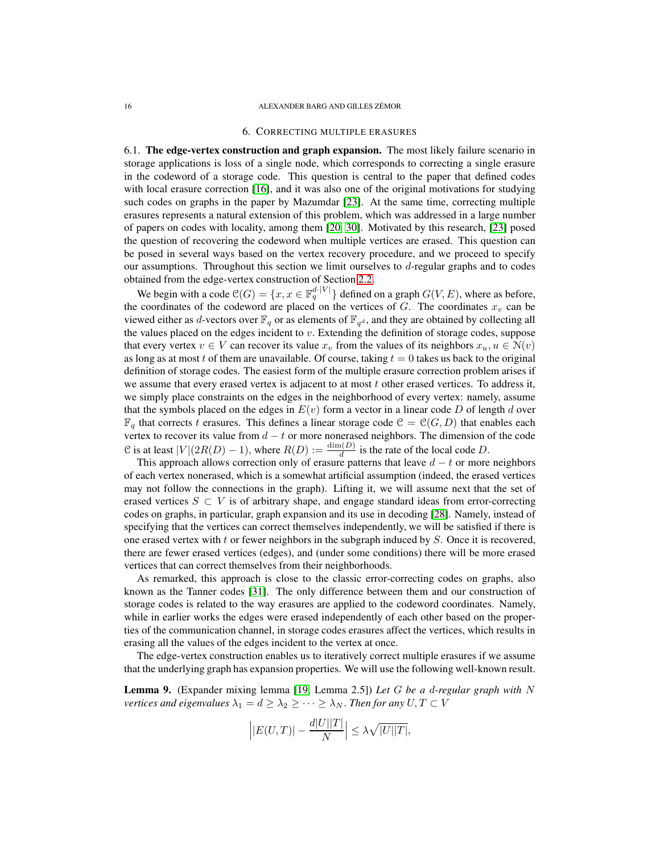#### <span id="page-15-0"></span>16 **ALEXANDER BARG AND GILLES ZÉMOR**

### 6. CORRECTING MULTIPLE ERASURES

6.1. The edge-vertex construction and graph expansion. The most likely failure scenario in storage applications is loss of a single node, which corresponds to correcting a single erasure in the codeword of a storage code. This question is central to the paper that defined codes with local erasure correction [\[16\]](#page-19-3), and it was also one of the original motivations for studying such codes on graphs in the paper by Mazumdar [\[23\]](#page-19-1). At the same time, correcting multiple erasures represents a natural extension of this problem, which was addressed in a large number of papers on codes with locality, among them [\[20,](#page-19-9) [30\]](#page-19-10). Motivated by this research, [\[23\]](#page-19-1) posed the question of recovering the codeword when multiple vertices are erased. This question can be posed in several ways based on the vertex recovery procedure, and we proceed to specify our assumptions. Throughout this section we limit ourselves to  $d$ -regular graphs and to codes obtained from the edge-vertex construction of Section [2.2.](#page-4-1)

We begin with a code  $\mathcal{C}(G) = \{x, x \in \mathbb{F}_q^{d \cdot |V|}\}$  defined on a graph  $G(V, E)$ , where as before, the coordinates of the codeword are placed on the vertices of  $G$ . The coordinates  $x<sub>v</sub>$  can be viewed either as *d*-vectors over  $\mathbb{F}_q$  or as elements of  $\mathbb{F}_{q^d}$ , and they are obtained by collecting all the values placed on the edges incident to  $v$ . Extending the definition of storage codes, suppose that every vertex  $v \in V$  can recover its value  $x_v$  from the values of its neighbors  $x_u, u \in N(v)$ as long as at most t of them are unavailable. Of course, taking  $t = 0$  takes us back to the original definition of storage codes. The easiest form of the multiple erasure correction problem arises if we assume that every erased vertex is adjacent to at most  $t$  other erased vertices. To address it, we simply place constraints on the edges in the neighborhood of every vertex: namely, assume that the symbols placed on the edges in  $E(v)$  form a vector in a linear code D of length d over  $\mathbb{F}_q$  that corrects t erasures. This defines a linear storage code  $\mathcal{C} = \mathcal{C}(G, D)$  that enables each vertex to recover its value from  $d - t$  or more nonerased neighbors. The dimension of the code C is at least  $|V|(2R(D) - 1)$ , where  $R(D) := \frac{\dim(D)}{d}$  is the rate of the local code D.

This approach allows correction only of erasure patterns that leave  $d - t$  or more neighbors of each vertex nonerased, which is a somewhat artificial assumption (indeed, the erased vertices may not follow the connections in the graph). Lifting it, we will assume next that the set of erased vertices  $S \subset V$  is of arbitrary shape, and engage standard ideas from error-correcting codes on graphs, in particular, graph expansion and its use in decoding [\[28\]](#page-19-11). Namely, instead of specifying that the vertices can correct themselves independently, we will be satisfied if there is one erased vertex with t or fewer neighbors in the subgraph induced by  $S$ . Once it is recovered, there are fewer erased vertices (edges), and (under some conditions) there will be more erased vertices that can correct themselves from their neighborhoods.

As remarked, this approach is close to the classic error-correcting codes on graphs, also known as the Tanner codes [\[31\]](#page-19-12). The only difference between them and our construction of storage codes is related to the way erasures are applied to the codeword coordinates. Namely, while in earlier works the edges were erased independently of each other based on the properties of the communication channel, in storage codes erasures affect the vertices, which results in erasing all the values of the edges incident to the vertex at once.

The edge-vertex construction enables us to iteratively correct multiple erasures if we assume that the underlying graph has expansion properties. We will use the following well-known result.

<span id="page-15-1"></span>Lemma 9. (Expander mixing lemma [\[19,](#page-19-13) Lemma 2.5]) *Let* G *be a* d*-regular graph with* N *vertices and eigenvalues*  $\lambda_1 = d \geq \lambda_2 \geq \cdots \geq \lambda_N$ . *Then for any*  $U, T \subset V$ 

$$
\left| |E(U,T)| - \frac{d|U||T|}{N} \right| \leq \lambda \sqrt{|U||T|},
$$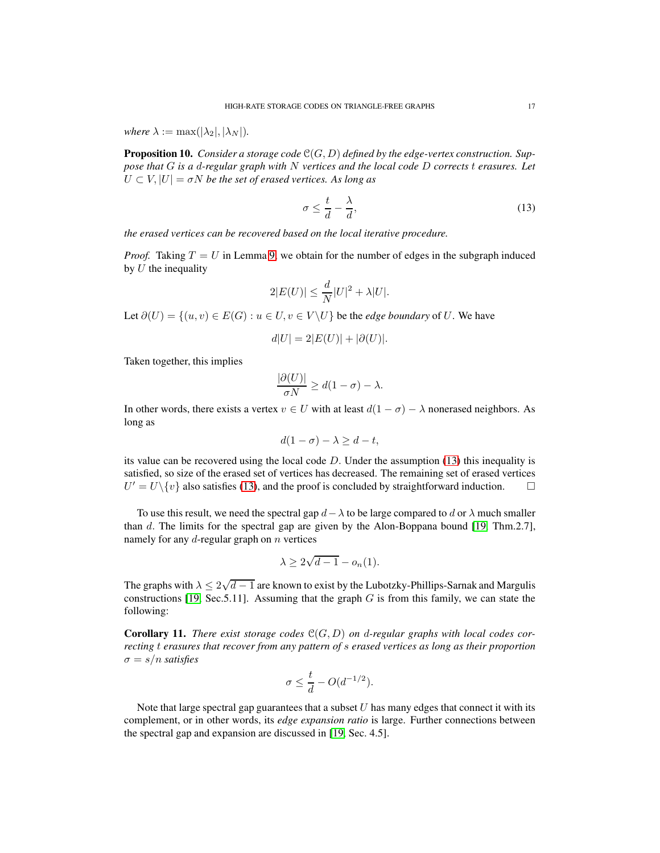*where*  $\lambda := \max(|\lambda_2|, |\lambda_N|)$ .

Proposition 10. *Consider a storage code* C(G, D) *defined by the edge-vertex construction. Suppose that* G *is a* d*-regular graph with* N *vertices and the local code* D *corrects* t *erasures. Let*  $U \subset V$ ,  $|U| = \sigma N$  *be the set of erased vertices. As long as* 

<span id="page-16-0"></span>
$$
\sigma \le \frac{t}{d} - \frac{\lambda}{d},\tag{13}
$$

*the erased vertices can be recovered based on the local iterative procedure.*

*Proof.* Taking  $T = U$  in Lemma [9,](#page-15-1) we obtain for the number of edges in the subgraph induced by  $U$  the inequality

$$
2|E(U)| \le \frac{d}{N}|U|^2 + \lambda |U|.
$$

Let  $\partial(U) = \{(u, v) \in E(G) : u \in U, v \in V \setminus U\}$  be the *edge boundary* of U. We have

$$
d|U| = 2|E(U)| + |\partial(U)|.
$$

Taken together, this implies

$$
\frac{|\partial(U)|}{\sigma N} \ge d(1-\sigma) - \lambda.
$$

In other words, there exists a vertex  $v \in U$  with at least  $d(1 - \sigma) - \lambda$  nonerased neighbors. As long as

$$
d(1 - \sigma) - \lambda \ge d - t,
$$

its value can be recovered using the local code  $D$ . Under the assumption [\(13\)](#page-16-0) this inequality is satisfied, so size of the erased set of vertices has decreased. The remaining set of erased vertices  $U' = U \setminus \{v\}$  also satisfies [\(13\)](#page-16-0), and the proof is concluded by straightforward induction.  $\square$ 

To use this result, we need the spectral gap  $d - \lambda$  to be large compared to d or  $\lambda$  much smaller than d. The limits for the spectral gap are given by the Alon-Boppana bound [\[19,](#page-19-13) Thm.2.7], namely for any  $d$ -regular graph on  $n$  vertices

$$
\lambda \ge 2\sqrt{d-1} - o_n(1).
$$

The graphs with  $\lambda \leq 2\sqrt{d-1}$  are known to exist by the Lubotzky-Phillips-Sarnak and Margulis constructions [\[19,](#page-19-13) Sec. 5.11]. Assuming that the graph  $G$  is from this family, we can state the following:

**Corollary 11.** There exist storage codes  $C(G, D)$  on d-regular graphs with local codes cor*recting* t *erasures that recover from any pattern of* s *erased vertices as long as their proportion*  $\sigma = s/n$  *satisfies* 

$$
\sigma \le \frac{t}{d} - O(d^{-1/2}).
$$

Note that large spectral gap guarantees that a subset  $U$  has many edges that connect it with its complement, or in other words, its *edge expansion ratio* is large. Further connections between the spectral gap and expansion are discussed in [\[19,](#page-19-13) Sec. 4.5].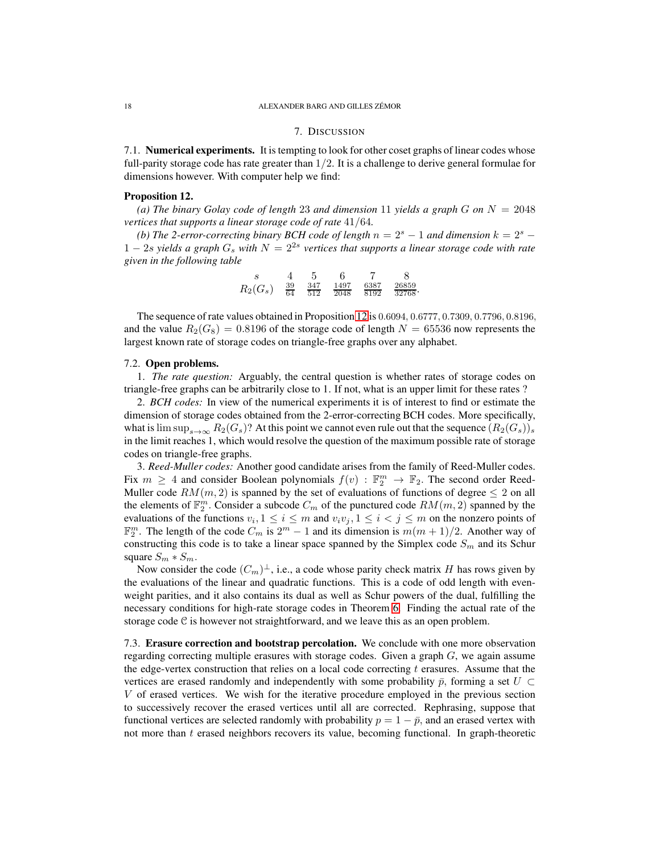#### <span id="page-17-0"></span>18 **ALEXANDER BARG AND GILLES ZÉMOR**

## 7. DISCUSSION

7.1. Numerical experiments. It is tempting to look for other coset graphs of linear codes whose full-parity storage code has rate greater than  $1/2$ . It is a challenge to derive general formulae for dimensions however. With computer help we find:

### <span id="page-17-1"></span>Proposition 12.

(a) The binary Golay code of length 23 and dimension 11 yields a graph G on  $N = 2048$ *vertices that supports a linear storage code of rate* 41/64*.*

*(b) The 2-error-correcting binary BCH code of length*  $n = 2<sup>s</sup> - 1$  *and dimension*  $k = 2<sup>s</sup> - 1$  $1 - 2s$  *yields a graph*  $G_s$  *with*  $N = 2^{2s}$  *vertices that supports a linear storage code with rate given in the following table*

|            |                 | h   |      |      |           |
|------------|-----------------|-----|------|------|-----------|
| $R_2(G_s)$ | $\overline{39}$ | 347 | 1497 | 6387 | 26859     |
|            | 64              | 512 | 2048 | 8192 | $32768^+$ |

The sequence of rate values obtained in Proposition [12](#page-17-1) is <sup>0</sup>.6094, <sup>0</sup>.6777, <sup>0</sup>.7309, <sup>0</sup>.7796, <sup>0</sup>.8196, and the value  $R_2(G_8) = 0.8196$  of the storage code of length  $N = 65536$  now represents the largest known rate of storage codes on triangle-free graphs over any alphabet.

### 7.2. Open problems.

1. *The rate question:* Arguably, the central question is whether rates of storage codes on triangle-free graphs can be arbitrarily close to 1. If not, what is an upper limit for these rates ?

2. *BCH codes:* In view of the numerical experiments it is of interest to find or estimate the dimension of storage codes obtained from the 2-error-correcting BCH codes. More specifically, what is  $\limsup_{s\to\infty} R_2(G_s)$ ? At this point we cannot even rule out that the sequence  $(R_2(G_s))_s$ in the limit reaches 1, which would resolve the question of the maximum possible rate of storage codes on triangle-free graphs.

3. *Reed-Muller codes:* Another good candidate arises from the family of Reed-Muller codes. Fix  $m \geq 4$  and consider Boolean polynomials  $f(v) : \mathbb{F}_2^m \to \mathbb{F}_2$ . The second order Reed-Muller code  $RM(m, 2)$  is spanned by the set of evaluations of functions of degree  $\leq 2$  on all the elements of  $\mathbb{F}_2^m$ . Consider a subcode  $C_m$  of the punctured code  $RM(m, 2)$  spanned by the evaluations of the functions  $v_i, 1 \le i \le m$  and  $v_i v_j, 1 \le i < j \le m$  on the nonzero points of  $\mathbb{F}_2^m$ . The length of the code  $C_m$  is  $2^m - 1$  and its dimension is  $m(m + 1)/2$ . Another way of constructing this code is to take a linear space spanned by the Simplex code  $S_m$  and its Schur square  $S_m * S_m$ .

Now consider the code  $(C_m)^{\perp}$ , i.e., a code whose parity check matrix H has rows given by the evaluations of the linear and quadratic functions. This is a code of odd length with evenweight parities, and it also contains its dual as well as Schur powers of the dual, fulfilling the necessary conditions for high-rate storage codes in Theorem [6.](#page-11-1) Finding the actual rate of the storage code C is however not straightforward, and we leave this as an open problem.

7.3. Erasure correction and bootstrap percolation. We conclude with one more observation regarding correcting multiple erasures with storage codes. Given a graph  $G$ , we again assume the edge-vertex construction that relies on a local code correcting  $t$  erasures. Assume that the vertices are erased randomly and independently with some probability  $\bar{p}$ , forming a set  $U \subset$ V of erased vertices. We wish for the iterative procedure employed in the previous section to successively recover the erased vertices until all are corrected. Rephrasing, suppose that functional vertices are selected randomly with probability  $p = 1 - \bar{p}$ , and an erased vertex with not more than  $t$  erased neighbors recovers its value, becoming functional. In graph-theoretic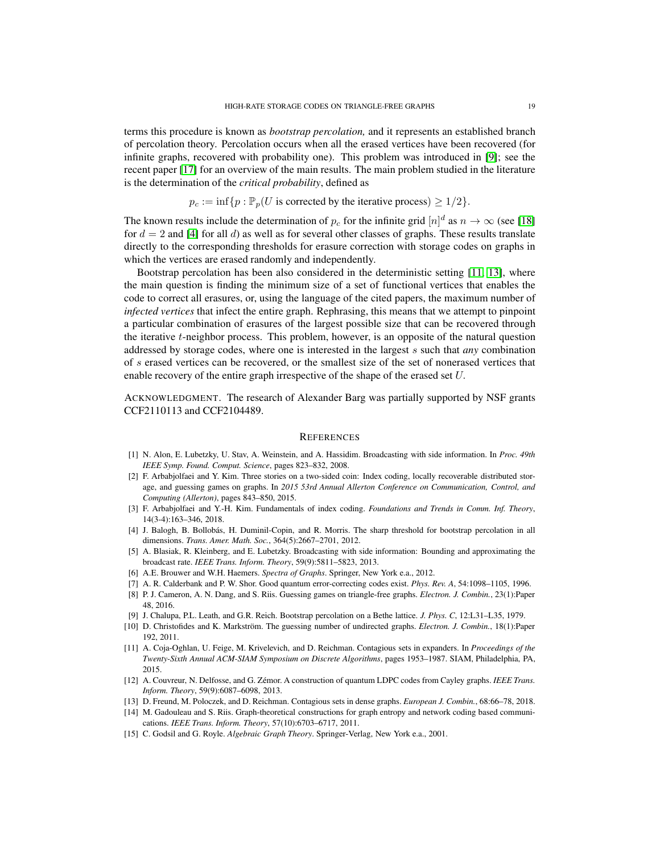terms this procedure is known as *bootstrap percolation,* and it represents an established branch of percolation theory. Percolation occurs when all the erased vertices have been recovered (for infinite graphs, recovered with probability one). This problem was introduced in [\[9\]](#page-18-11); see the recent paper [\[17\]](#page-19-14) for an overview of the main results. The main problem studied in the literature is the determination of the *critical probability*, defined as

 $p_c := \inf\{p : \mathbb{P}_p(U \text{ is corrected by the iterative process}) \geq 1/2\}.$ 

The known results include the determination of  $p_c$  for the infinite grid  $[n]^d$  as  $n \to \infty$  (see [\[18\]](#page-19-15) for  $d = 2$  and [\[4\]](#page-18-12) for all d) as well as for several other classes of graphs. These results translate directly to the corresponding thresholds for erasure correction with storage codes on graphs in which the vertices are erased randomly and independently.

Bootstrap percolation has been also considered in the deterministic setting [\[11,](#page-18-13) [13\]](#page-18-14), where the main question is finding the minimum size of a set of functional vertices that enables the code to correct all erasures, or, using the language of the cited papers, the maximum number of *infected vertices* that infect the entire graph. Rephrasing, this means that we attempt to pinpoint a particular combination of erasures of the largest possible size that can be recovered through the iterative  $t$ -neighbor process. This problem, however, is an opposite of the natural question addressed by storage codes, where one is interested in the largest s such that *any* combination of s erased vertices can be recovered, or the smallest size of the set of nonerased vertices that enable recovery of the entire graph irrespective of the shape of the erased set U.

ACKNOWLEDGMENT. The research of Alexander Barg was partially supported by NSF grants CCF2110113 and CCF2104489.

### **REFERENCES**

- <span id="page-18-0"></span>[1] N. Alon, E. Lubetzky, U. Stav, A. Weinstein, and A. Hassidim. Broadcasting with side information. In *Proc. 49th IEEE Symp. Found. Comput. Science*, pages 823–832, 2008.
- <span id="page-18-3"></span>[2] F. Arbabjolfaei and Y. Kim. Three stories on a two-sided coin: Index coding, locally recoverable distributed storage, and guessing games on graphs. In *2015 53rd Annual Allerton Conference on Communication, Control, and Computing (Allerton)*, pages 843–850, 2015.
- <span id="page-18-6"></span>[3] F. Arbabjolfaei and Y.-H. Kim. Fundamentals of index coding. *Foundations and Trends in Comm. Inf. Theory*, 14(3-4):163–346, 2018.
- <span id="page-18-12"></span>[4] J. Balogh, B. Bollobás, H. Duminil-Copin, and R. Morris. The sharp threshold for bootstrap percolation in all dimensions. *Trans. Amer. Math. Soc.*, 364(5):2667–2701, 2012.
- <span id="page-18-7"></span>[5] A. Blasiak, R. Kleinberg, and E. Lubetzky. Broadcasting with side information: Bounding and approximating the broadcast rate. *IEEE Trans. Inform. Theory*, 59(9):5811–5823, 2013.
- <span id="page-18-10"></span><span id="page-18-9"></span>[6] A.E. Brouwer and W.H. Haemers. *Spectra of Graphs*. Springer, New York e.a., 2012.
- <span id="page-18-2"></span>[7] A. R. Calderbank and P. W. Shor. Good quantum error-correcting codes exist. *Phys. Rev. A*, 54:1098–1105, 1996.
- [8] P. J. Cameron, A. N. Dang, and S. Riis. Guessing games on triangle-free graphs. *Electron. J. Combin.*, 23(1):Paper 48, 2016.
- <span id="page-18-11"></span><span id="page-18-1"></span>[9] J. Chalupa, P.L. Leath, and G.R. Reich. Bootstrap percolation on a Bethe lattice. *J. Phys. C*, 12:L31–L35, 1979.
- [10] D. Christofides and K. Markström. The guessing number of undirected graphs. *Electron. J. Combin.*, 18(1):Paper 192, 2011.
- <span id="page-18-13"></span>[11] A. Coja-Oghlan, U. Feige, M. Krivelevich, and D. Reichman. Contagious sets in expanders. In *Proceedings of the Twenty-Sixth Annual ACM-SIAM Symposium on Discrete Algorithms*, pages 1953–1987. SIAM, Philadelphia, PA, 2015.
- <span id="page-18-4"></span>[12] A. Couvreur, N. Delfosse, and G. Z´emor. A construction of quantum LDPC codes from Cayley graphs. *IEEE Trans. Inform. Theory*, 59(9):6087–6098, 2013.
- <span id="page-18-14"></span><span id="page-18-5"></span>[13] D. Freund, M. Poloczek, and D. Reichman. Contagious sets in dense graphs. *European J. Combin.*, 68:66–78, 2018.
- [14] M. Gadouleau and S. Riis. Graph-theoretical constructions for graph entropy and network coding based communications. *IEEE Trans. Inform. Theory*, 57(10):6703–6717, 2011.
- <span id="page-18-8"></span>[15] C. Godsil and G. Royle. *Algebraic Graph Theory*. Springer-Verlag, New York e.a., 2001.